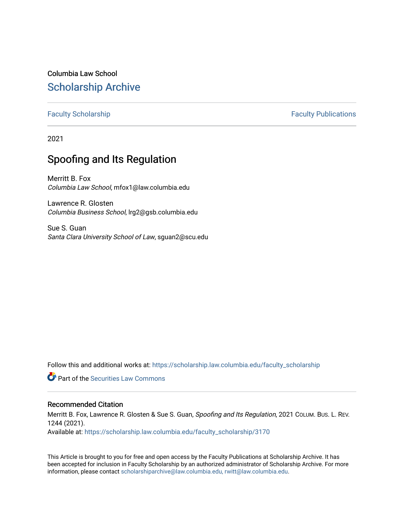Columbia Law School [Scholarship Archive](https://scholarship.law.columbia.edu/) 

# [Faculty Scholarship](https://scholarship.law.columbia.edu/faculty_scholarship) **Faculty Scholarship Faculty Publications**

2021

# Spoofing and Its Regulation

Merritt B. Fox Columbia Law School, mfox1@law.columbia.edu

Lawrence R. Glosten Columbia Business School, lrg2@gsb.columbia.edu

Sue S. Guan Santa Clara University School of Law, sguan2@scu.edu

Follow this and additional works at: [https://scholarship.law.columbia.edu/faculty\\_scholarship](https://scholarship.law.columbia.edu/faculty_scholarship?utm_source=scholarship.law.columbia.edu%2Ffaculty_scholarship%2F3170&utm_medium=PDF&utm_campaign=PDFCoverPages)

**C** Part of the Securities Law Commons

# Recommended Citation

Merritt B. Fox, Lawrence R. Glosten & Sue S. Guan, Spoofing and Its Regulation, 2021 COLUM. BUS. L. REV. 1244 (2021).

Available at: [https://scholarship.law.columbia.edu/faculty\\_scholarship/3170](https://scholarship.law.columbia.edu/faculty_scholarship/3170?utm_source=scholarship.law.columbia.edu%2Ffaculty_scholarship%2F3170&utm_medium=PDF&utm_campaign=PDFCoverPages)

This Article is brought to you for free and open access by the Faculty Publications at Scholarship Archive. It has been accepted for inclusion in Faculty Scholarship by an authorized administrator of Scholarship Archive. For more information, please contact [scholarshiparchive@law.columbia.edu, rwitt@law.columbia.edu](mailto:scholarshiparchive@law.columbia.edu,%20rwitt@law.columbia.edu).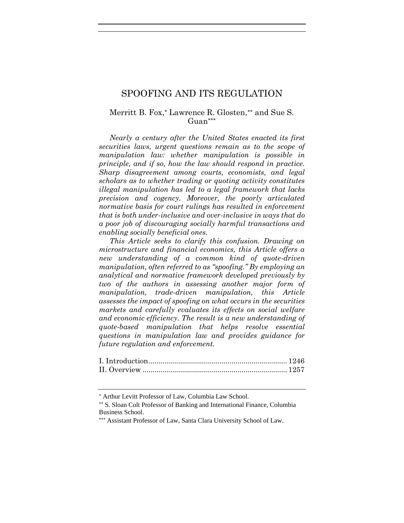# SPOOFING AND ITS REGULATION

# Merritt B. Fox,\* Lawrence R. Glosten,\*\* and Sue S. Guan<sup>\*\*\*</sup>

*Nearly a century after the United States enacted its first securities laws, urgent questions remain as to the scope of manipulation law: whether manipulation is possible in principle, and if so, how the law should respond in practice. Sharp disagreement among courts, economists, and legal scholars as to whether trading or quoting activity constitutes illegal manipulation has led to a legal framework that lacks precision and cogency. Moreover, the poorly articulated normative basis for court rulings has resulted in enforcement that is both under-inclusive and over-inclusive in ways that do a poor job of discouraging socially harmful transactions and enabling socially beneficial ones.*

*This Article seeks to clarify this confusion. Drawing on microstructure and financial economics, this Article offers a new understanding of a common kind of quote-driven manipulation, often referred to as "spoofing." By employing an analytical and normative framework developed previously by two of the authors in assessing another major form of manipulation, trade-driven manipulation, this Article assesses the impact of spoofing on what occurs in the securities markets and carefully evaluates its effects on social welfare and economic efficiency. The result is a new understanding of quote-based manipulation that helps resolve essential questions in manipulation law and provides guidance for future regulation and enforcement.*

Arthur Levitt Professor of Law, Columbia Law School.

<sup>\*\*</sup> S. Sloan Colt Professor of Banking and International Finance, Columbia Business School.

Assistant Professor of Law, Santa Clara University School of Law.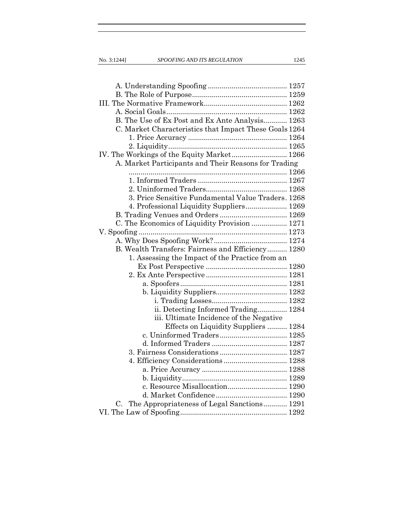| B. The Use of Ex Post and Ex Ante Analysis 1263        |
|--------------------------------------------------------|
| C. Market Characteristics that Impact These Goals 1264 |
|                                                        |
|                                                        |
| IV. The Workings of the Equity Market 1266             |
| A. Market Participants and Their Reasons for Trading   |
|                                                        |
|                                                        |
|                                                        |
| 3. Price Sensitive Fundamental Value Traders. 1268     |
| 4. Professional Liquidity Suppliers 1269               |
|                                                        |
| C. The Economics of Liquidity Provision  1271          |
|                                                        |
|                                                        |
| B. Wealth Transfers: Fairness and Efficiency 1280      |
| 1. Assessing the Impact of the Practice from an        |
|                                                        |
|                                                        |
|                                                        |
|                                                        |
|                                                        |
| ii. Detecting Informed Trading 1284                    |
| iii. Ultimate Incidence of the Negative                |
| Effects on Liquidity Suppliers  1284                   |
|                                                        |
|                                                        |
|                                                        |
| 4. Efficiency Considerations 1288                      |
|                                                        |
|                                                        |
| c. Resource Misallocation 1290                         |
|                                                        |
| C. The Appropriateness of Legal Sanctions 1291         |
|                                                        |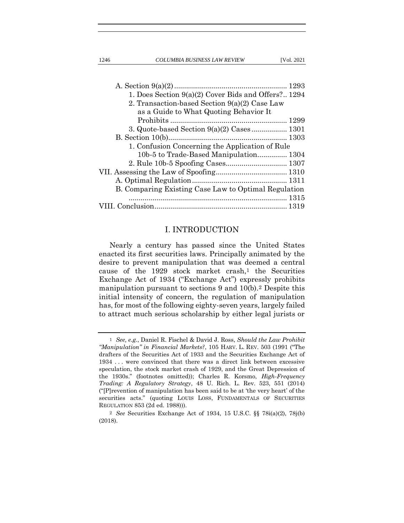1246 *COLUMBIA BUSINESS LAW REVIEW* [Vol. 2021

| 1. Does Section $9(a)(2)$ Cover Bids and Offers? 1294 |  |
|-------------------------------------------------------|--|
| 2. Transaction-based Section 9(a)(2) Case Law         |  |
| as a Guide to What Quoting Behavior It                |  |
|                                                       |  |
|                                                       |  |
|                                                       |  |
| 1. Confusion Concerning the Application of Rule       |  |
| 10b-5 to Trade-Based Manipulation 1304                |  |
|                                                       |  |
|                                                       |  |
|                                                       |  |
| B. Comparing Existing Case Law to Optimal Regulation  |  |
|                                                       |  |
|                                                       |  |
|                                                       |  |

# I. INTRODUCTION

Nearly a century has passed since the United States enacted its first securities laws. Principally animated by the desire to prevent manipulation that was deemed a central cause of the 1929 stock market crash,1 the Securities Exchange Act of 1934 ("Exchange Act") expressly prohibits manipulation pursuant to sections 9 and 10(b).2 Despite this initial intensity of concern, the regulation of manipulation has, for most of the following eighty-seven years, largely failed to attract much serious scholarship by either legal jurists or

<sup>1</sup> *See, e.g.*, Daniel R. Fischel & David J. Ross, *Should the Law Prohibit "Manipulation" in Financial Markets?*, 105 HARV. L. REV. 503 (1991 ("The drafters of the Securities Act of 1933 and the Securities Exchange Act of 1934 . . . were convinced that there was a direct link between excessive speculation, the stock market crash of 1929, and the Great Depression of the 1930s." (footnotes omitted)); Charles R. Korsmo, *High-Frequency Trading: A Regulatory Strategy*, 48 U. Rich. L. Rev. 523, 551 (2014) ("[P]revention of manipulation has been said to be at 'the very heart' of the securities acts." (quoting LOUIS LOSS, FUNDAMENTALS OF SECURITIES REGULATION 853 (2d ed. 1988))).

<sup>2</sup> *See* Securities Exchange Act of 1934, 15 U.S.C. §§ 78i(a)(2), 78j(b) (2018).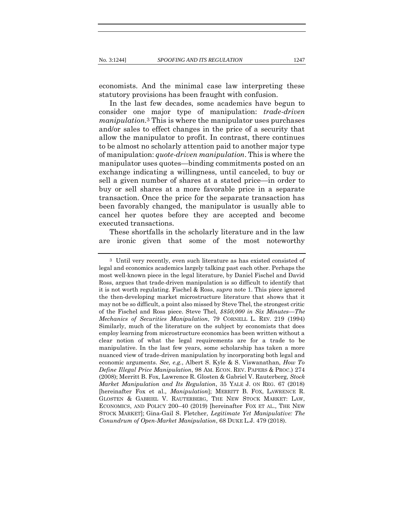economists. And the minimal case law interpreting these statutory provisions has been fraught with confusion.

In the last few decades, some academics have begun to consider one major type of manipulation: *trade-driven manipulation.*3 This is where the manipulator uses purchases and/or sales to effect changes in the price of a security that allow the manipulator to profit. In contrast, there continues to be almost no scholarly attention paid to another major type of manipulation: *quote-driven manipulation*. This is where the manipulator uses quotes—binding commitments posted on an exchange indicating a willingness, until canceled, to buy or sell a given number of shares at a stated price—in order to buy or sell shares at a more favorable price in a separate transaction. Once the price for the separate transaction has been favorably changed, the manipulator is usually able to cancel her quotes before they are accepted and become executed transactions.

These shortfalls in the scholarly literature and in the law are ironic given that some of the most noteworthy

<sup>3</sup> Until very recently, even such literature as has existed consisted of legal and economics academics largely talking past each other. Perhaps the most well-known piece in the legal literature, by Daniel Fischel and David Ross, argues that trade-driven manipulation is so difficult to identify that it is not worth regulating. Fischel & Ross, *supra* note 1. This piece ignored the then-developing market microstructure literature that shows that it may not be so difficult, a point also missed by Steve Thel, the strongest critic of the Fischel and Ross piece. Steve Thel, *\$850,000 in Six Minutes—The Mechanics of Securities Manipulation*, 79 CORNELL L. REV. 219 (1994) Similarly, much of the literature on the subject by economists that does employ learning from microstructure economics has been written without a clear notion of what the legal requirements are for a trade to be manipulative. In the last few years, some scholarship has taken a more nuanced view of trade-driven manipulation by incorporating both legal and economic arguments. *See, e.g.*, Albert S. Kyle & S. Viswanathan, *How To Define Illegal Price Manipulation*, 98 AM. ECON. REV. PAPERS & PROC.) 274 (2008); Merritt B. Fox, Lawrence R. Glosten & Gabriel V. Rauterberg, *Stock Market Manipulation and Its Regulation*, 35 YALE J. ON REG. 67 (2018) [hereinafter Fox et al., *Manipulation*]; MERRITT B. FOX, LAWRENCE R. GLOSTEN & GABRIEL V. RAUTERBERG, THE NEW STOCK MARKET: LAW, ECONOMICS, AND POLICY 200–40 (2019) [hereinafter FOX ET AL., THE NEW STOCK MARKET]; Gina-Gail S. Fletcher, *Legitimate Yet Manipulative: The Conundrum of Open-Market Manipulation*, 68 DUKE L.J. 479 (2018).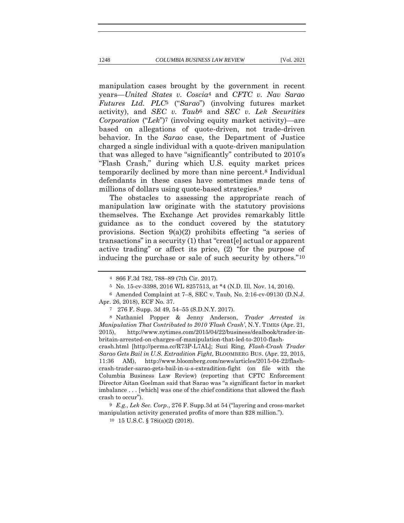manipulation cases brought by the government in recent years—*United States v. Coscia*4 and *CFTC v. Nav Sarao Futures Ltd. PLC*5 ("*Sarao*") (involving futures market activity), and *SEC v. Taub*6 and *SEC v. Lek Securities Corporation* ("*Lek*")7 (involving equity market activity)—are based on allegations of quote-driven, not trade-driven behavior. In the *Sarao* case, the Department of Justice charged a single individual with a quote-driven manipulation that was alleged to have "significantly" contributed to 2010's "Flash Crash," during which U.S. equity market prices temporarily declined by more than nine percent.8 Individual defendants in these cases have sometimes made tens of millions of dollars using quote-based strategies.<sup>9</sup>

The obstacles to assessing the appropriate reach of manipulation law originate with the statutory provisions themselves. The Exchange Act provides remarkably little guidance as to the conduct covered by the statutory provisions. Section 9(a)(2) prohibits effecting "a series of transactions" in a security (1) that "creat[e] actual or apparent active trading" or affect its price, (2) "for the purpose of inducing the purchase or sale of such security by others."10

8 Nathaniel Popper & Jenny Anderson, *Trader Arrested in Manipulation That Contributed to 2010 'Flash Crash'*, N.Y. TIMES (Apr. 21, 2015), http://www.nytimes.com/2015/04/22/business/dealbook/trader-inbritain-arrested-on-charges-of-manipulation-that-led-to-2010-flashcrash.html [http://perma.cc/R73P-L7AL]; Suzi Ring, *Flash-Crash Trader Sarao Gets Bail in U.S. Extradition Fight*, BLOOMBERG BUS. (Apr. 22, 2015, 11:36 AM), http://www.bloomberg.com/news/articles/2015-04-22/flashcrash-trader-sarao-gets-bail-in-u-s-extradition-fight (on file with the Columbia Business Law Review) (reporting that CFTC Enforcement Director Aitan Goelman said that Sarao was "a significant factor in market

<sup>4</sup> 866 F.3d 782, 788–89 (7th Cir. 2017).

<sup>5</sup> No. 15-cv-3398, 2016 WL 8257513, at \*4 (N.D. Ill. Nov. 14, 2016).

<sup>6</sup> Amended Complaint at 7–8, SEC v. Taub, No. 2:16-cv-09130 (D.N.J. Apr. 26, 2018), ECF No. 37.

<sup>7</sup> 276 F. Supp. 3d 49, 54–55 (S.D.N.Y. 2017).

imbalance . . . [which] was one of the chief conditions that allowed the flash crash to occur").

<sup>9</sup> *E.g.*, *Lek Sec. Corp.*, 276 F. Supp.3d at 54 ("layering and cross-market manipulation activity generated profits of more than \$28 million.").

<sup>10</sup> 15 U.S.C. § 78i(a)(2) (2018).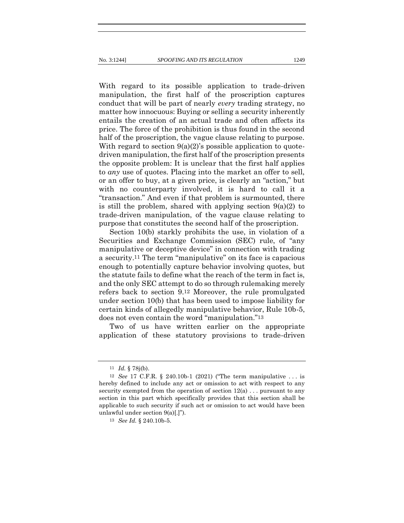With regard to its possible application to trade-driven manipulation, the first half of the proscription captures conduct that will be part of nearly *every* trading strategy, no matter how innocuous: Buying or selling a security inherently entails the creation of an actual trade and often affects its price. The force of the prohibition is thus found in the second half of the proscription, the vague clause relating to purpose. With regard to section  $9(a)(2)$ 's possible application to quotedriven manipulation, the first half of the proscription presents the opposite problem: It is unclear that the first half applies to *any* use of quotes. Placing into the market an offer to sell, or an offer to buy, at a given price, is clearly an "action," but with no counterparty involved, it is hard to call it a "transaction." And even if that problem is surmounted, there is still the problem, shared with applying section  $9(a)(2)$  to trade-driven manipulation, of the vague clause relating to purpose that constitutes the second half of the proscription.

Section 10(b) starkly prohibits the use, in violation of a Securities and Exchange Commission (SEC) rule, of "any manipulative or deceptive device" in connection with trading a security.11 The term "manipulative" on its face is capacious enough to potentially capture behavior involving quotes, but the statute fails to define what the reach of the term in fact is, and the only SEC attempt to do so through rulemaking merely refers back to section 9.12 Moreover, the rule promulgated under section 10(b) that has been used to impose liability for certain kinds of allegedly manipulative behavior, Rule 10b-5, does not even contain the word "manipulation."13

Two of us have written earlier on the appropriate application of these statutory provisions to trade-driven

<sup>11</sup> *Id.* § 78j(b).

<sup>12</sup> *See* 17 C.F.R. § 240.10b-1 (2021) ("The term manipulative . . . is hereby defined to include any act or omission to act with respect to any security exempted from the operation of section  $12(a)$ ... pursuant to any section in this part which specifically provides that this section shall be applicable to such security if such act or omission to act would have been unlawful under section 9(a)[.]").

<sup>13</sup> *See Id.* § 240.10b-5.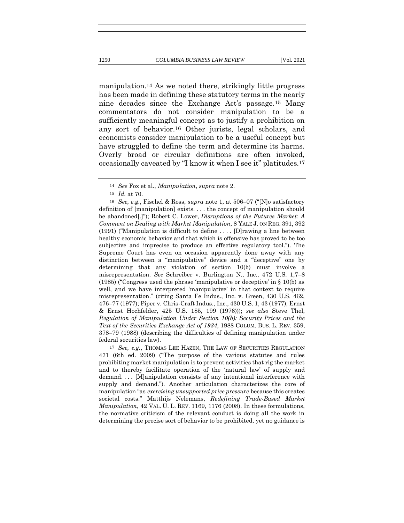manipulation.14 As we noted there, strikingly little progress has been made in defining these statutory terms in the nearly nine decades since the Exchange Act's passage.15 Many commentators do not consider manipulation to be a sufficiently meaningful concept as to justify a prohibition on any sort of behavior.16 Other jurists, legal scholars, and economists consider manipulation to be a useful concept but have struggled to define the term and determine its harms. Overly broad or circular definitions are often invoked, occasionally caveated by "I know it when I see it" platitudes.17

16 *See, e.g.*, Fischel & Ross, *supra* note 1, at 506–07 ("[N]o satisfactory definition of [manipulation] exists. . . . the concept of manipulation should be abandoned[.]"); Robert C. Lower, *Disruptions of the Futures Market: A Comment on Dealing with Market Manipulation*, 8 YALE J. ON REG. 391, 392 (1991) ("Manipulation is difficult to define . . . . [D]rawing a line between healthy economic behavior and that which is offensive has proved to be too subjective and imprecise to produce an effective regulatory tool."). The Supreme Court has even on occasion apparently done away with any distinction between a "manipulative" device and a "deceptive" one by determining that any violation of section 10(b) must involve a misrepresentation. *See* Schreiber v. Burlington N., Inc., 472 U.S. 1,7–8 (1985) ("Congress used the phrase 'manipulative or deceptive' in § 10(b) as well, and we have interpreted 'manipulative' in that context to require misrepresentation." (citing Santa Fe Indus., Inc. v. Green, 430 U.S. 462, 476–77 (1977); Piper v. Chris-Craft Indus., Inc., 430 U.S. 1, 43 (1977); Ernst & Ernst Hochfelder, 425 U.S. 185, 199 (1976))); *see also* Steve Thel, *Regulation of Manipulation Under Section 10(b): Security Prices and the Text of the Securities Exchange Act of 1934*, 1988 COLUM. BUS. L. REV. 359, 378–79 (1988) (describing the difficulties of defining manipulation under federal securities law).

17 *See, e.g.*, THOMAS LEE HAZEN, THE LAW OF SECURITIES REGULATION 471 (6th ed. 2009) ("The purpose of the various statutes and rules prohibiting market manipulation is to prevent activities that rig the market and to thereby facilitate operation of the 'natural law' of supply and demand. . . . [M]anipulation consists of any intentional interference with supply and demand."). Another articulation characterizes the core of manipulation "as *exercising unsupported price pressure* because this creates societal costs." Matthijs Nelemans, *Redefining Trade-Based Market Manipulation*, 42 VAL. U. L. REV. 1169, 1176 (2008). In these formulations, the normative criticism of the relevant conduct is doing all the work in determining the precise sort of behavior to be prohibited, yet no guidance is

<sup>14</sup> *See* Fox et al., *Manipulation*, *supra* note 2.

<sup>15</sup> *Id.* at 70.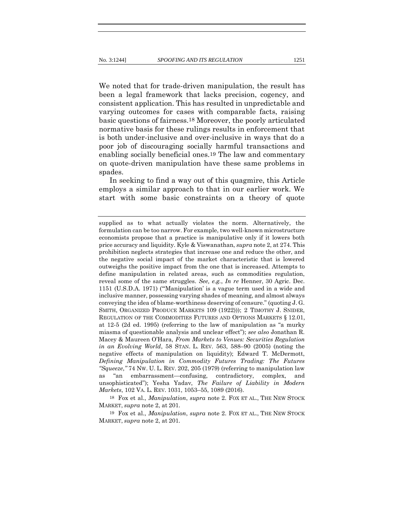We noted that for trade-driven manipulation, the result has been a legal framework that lacks precision, cogency, and consistent application. This has resulted in unpredictable and varying outcomes for cases with comparable facts, raising basic questions of fairness.18 Moreover, the poorly articulated normative basis for these rulings results in enforcement that is both under-inclusive and over-inclusive in ways that do a poor job of discouraging socially harmful transactions and enabling socially beneficial ones.19 The law and commentary on quote-driven manipulation have these same problems in spades.

In seeking to find a way out of this quagmire, this Article employs a similar approach to that in our earlier work. We start with some basic constraints on a theory of quote

18 Fox et al., *Manipulation*, *supra* note 2. FOX ET AL., THE NEW STOCK MARKET, *supra* note 2, at 201.

19 Fox et al., *Manipulation*, *supra* note 2. FOX ET AL., THE NEW STOCK MARKET, *supra* note 2, at 201.

supplied as to what actually violates the norm. Alternatively, the formulation can be too narrow. For example, two well-known microstructure economists propose that a practice is manipulative only if it lowers both price accuracy and liquidity. Kyle & Viswanathan, *supra* note 2, at 274. This prohibition neglects strategies that increase one and reduce the other, and the negative social impact of the market characteristic that is lowered outweighs the positive impact from the one that is increased. Attempts to define manipulation in related areas, such as commodities regulation, reveal some of the same struggles. *See, e.g.*, *In re* Henner, 30 Agric. Dec. 1151 (U.S.D.A. 1971) ("'Manipulation' is a vague term used in a wide and inclusive manner, possessing varying shades of meaning, and almost always conveying the idea of blame-worthiness deserving of censure." (quoting J. G. SMITH, ORGANIZED PRODUCE MARKETS 109 (1922))); 2 TIMOTHY J. SNIDER, REGULATION OF THE COMMODITIES FUTURES AND OPTIONS MARKETS § 12.01, at 12-5 (2d ed. 1995) (referring to the law of manipulation as "a murky miasma of questionable analysis and unclear effect"); *see also* Jonathan R. Macey & Maureen O'Hara, *From Markets to Venues: Securities Regulation in an Evolving World*, 58 STAN. L. REV. 563, 588–90 (2005) (noting the negative effects of manipulation on liquidity); Edward T. McDermott, *Defining Manipulation in Commodity Futures Trading: The Futures "Squeeze*,*"* 74 NW. U. L. REV. 202, 205 (1979) (referring to manipulation law as "an embarrassment—confusing, contradictory, complex, and unsophisticated"); Yesha Yadav, *The Failure of Liability in Modern Markets*, 102 VA. L. REV. 1031, 1053–55, 1089 (2016).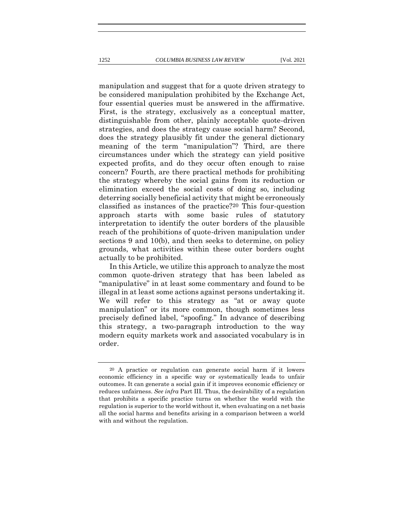manipulation and suggest that for a quote driven strategy to be considered manipulation prohibited by the Exchange Act, four essential queries must be answered in the affirmative. First, is the strategy, exclusively as a conceptual matter, distinguishable from other, plainly acceptable quote-driven strategies, and does the strategy cause social harm? Second, does the strategy plausibly fit under the general dictionary meaning of the term "manipulation"? Third, are there circumstances under which the strategy can yield positive expected profits, and do they occur often enough to raise concern? Fourth, are there practical methods for prohibiting the strategy whereby the social gains from its reduction or elimination exceed the social costs of doing so, including deterring socially beneficial activity that might be erroneously classified as instances of the practice?20 This four-question approach starts with some basic rules of statutory interpretation to identify the outer borders of the plausible reach of the prohibitions of quote-driven manipulation under sections 9 and 10(b), and then seeks to determine, on policy grounds, what activities within these outer borders ought actually to be prohibited.

In this Article, we utilize this approach to analyze the most common quote-driven strategy that has been labeled as "manipulative" in at least some commentary and found to be illegal in at least some actions against persons undertaking it. We will refer to this strategy as "at or away quote manipulation" or its more common, though sometimes less precisely defined label, "spoofing." In advance of describing this strategy, a two-paragraph introduction to the way modern equity markets work and associated vocabulary is in order.

<sup>20</sup> A practice or regulation can generate social harm if it lowers economic efficiency in a specific way or systematically leads to unfair outcomes. It can generate a social gain if it improves economic efficiency or reduces unfairness. *See infra* Part III*.* Thus, the desirability of a regulation that prohibits a specific practice turns on whether the world with the regulation is superior to the world without it, when evaluating on a net basis all the social harms and benefits arising in a comparison between a world with and without the regulation.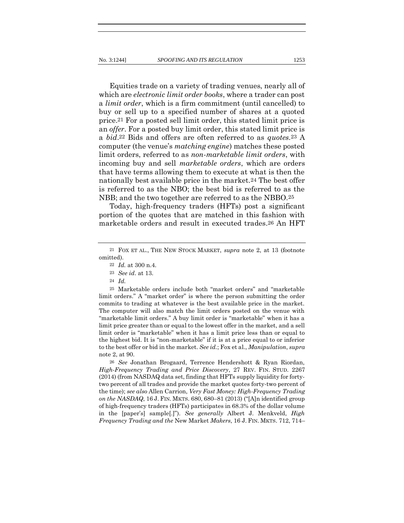Equities trade on a variety of trading venues, nearly all of which are *electronic limit order books*, where a trader can post a *limit order*, which is a firm commitment (until cancelled) to buy or sell up to a specified number of shares at a quoted price.21 For a posted sell limit order, this stated limit price is an *offer*. For a posted buy limit order, this stated limit price is a *bid*.22 Bids and offers are often referred to as *quotes.*23 A computer (the venue's *matching engine*) matches these posted limit orders, referred to as *non-marketable limit orders*, with incoming buy and sell *marketable orders*, which are orders that have terms allowing them to execute at what is then the nationally best available price in the market.24 The best offer is referred to as the NBO; the best bid is referred to as the NBB; and the two together are referred to as the NBBO.25

Today, high-frequency traders (HFTs) post a significant portion of the quotes that are matched in this fashion with marketable orders and result in executed trades.26 An HFT

25 Marketable orders include both "market orders" and "marketable limit orders." A "market order" is where the person submitting the order commits to trading at whatever is the best available price in the market. The computer will also match the limit orders posted on the venue with "marketable limit orders." A buy limit order is "marketable" when it has a limit price greater than or equal to the lowest offer in the market, and a sell limit order is "marketable" when it has a limit price less than or equal to the highest bid. It is "non-marketable" if it is at a price equal to or inferior to the best offer or bid in the market. *See id.*; Fox et al., *Manipulation*, *supra*  note 2, at 90.

26 *See* Jonathan Brogaard, Terrence Hendershott & Ryan Riordan, *High-Frequency Trading and Price Discovery*, 27 REV. FIN. STUD. 2267 (2014) (from NASDAQ data set, finding that HFTs supply liquidity for fortytwo percent of all trades and provide the market quotes forty-two percent of the time); *see also* Allen Carrion, *Very Fast Money: High-Frequency Trading on the NASDAQ*, 16 J. FIN. MKTS. 680, 680–81 (2013) ("[A]n identified group of high-frequency traders (HFTs) participates in 68.3% of the dollar volume in the [paper's] sample[.]"). *See generally* Albert J. Menkveld, *High Frequency Trading and the* New Market *Makers*, 16 J. FIN. MKTS. 712, 714–

<sup>21</sup> FOX ET AL., THE NEW STOCK MARKET, *supra* note 2, at 13 (footnote omitted).

<sup>22</sup> *Id.* at 300 n.4.

<sup>23</sup> *See id*. at 13.

<sup>24</sup> *Id.*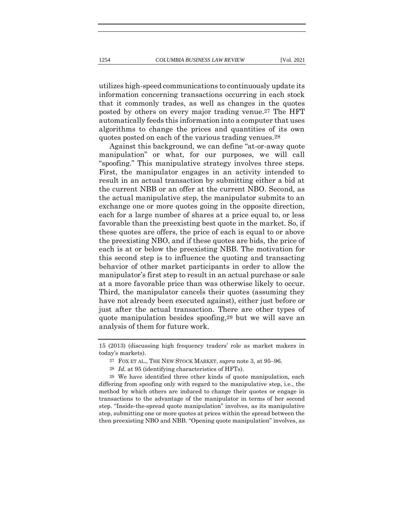utilizes high-speed communications to continuously update its information concerning transactions occurring in each stock that it commonly trades, as well as changes in the quotes posted by others on every major trading venue.27 The HFT automatically feeds this information into a computer that uses algorithms to change the prices and quantities of its own quotes posted on each of the various trading venues.28

Against this background, we can define "at-or-away quote manipulation" or what, for our purposes, we will call "spoofing." This manipulative strategy involves three steps. First, the manipulator engages in an activity intended to result in an actual transaction by submitting either a bid at the current NBB or an offer at the current NBO. Second, as the actual manipulative step, the manipulator submits to an exchange one or more quotes going in the opposite direction, each for a large number of shares at a price equal to, or less favorable than the preexisting best quote in the market. So, if these quotes are offers, the price of each is equal to or above the preexisting NBO, and if these quotes are bids, the price of each is at or below the preexisting NBB. The motivation for this second step is to influence the quoting and transacting behavior of other market participants in order to allow the manipulator's first step to result in an actual purchase or sale at a more favorable price than was otherwise likely to occur. Third, the manipulator cancels their quotes (assuming they have not already been executed against), either just before or just after the actual transaction. There are other types of quote manipulation besides spoofing,29 but we will save an analysis of them for future work.

<sup>15 (2013) (</sup>discussing high frequency traders' role as market makers in today's markets).

<sup>27</sup> FOX ET AL., THE NEW STOCK MARKET, *supra* note 3, at 95–96.

<sup>28</sup> *Id.* at 95 (identifying characteristics of HFTs).

<sup>29</sup> We have identified three other kinds of quote manipulation, each differing from spoofing only with regard to the manipulative step, i.e., the method by which others are induced to change their quotes or engage in transactions to the advantage of the manipulator in terms of her second step. "Inside-the-spread quote manipulation" involves, as its manipulative step, submitting one or more quotes at prices within the spread between the then preexisting NBO and NBB. "Opening quote manipulation" involves, as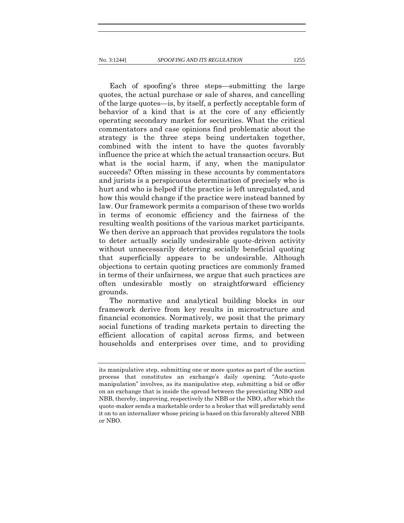Each of spoofing's three steps—submitting the large quotes, the actual purchase or sale of shares, and cancelling of the large quotes—is, by itself, a perfectly acceptable form of behavior of a kind that is at the core of any efficiently operating secondary market for securities. What the critical commentators and case opinions find problematic about the strategy is the three steps being undertaken together, combined with the intent to have the quotes favorably influence the price at which the actual transaction occurs. But what is the social harm, if any, when the manipulator succeeds? Often missing in these accounts by commentators and jurists is a perspicuous determination of precisely who is hurt and who is helped if the practice is left unregulated, and how this would change if the practice were instead banned by law. Our framework permits a comparison of these two worlds in terms of economic efficiency and the fairness of the resulting wealth positions of the various market participants. We then derive an approach that provides regulators the tools to deter actually socially undesirable quote-driven activity without unnecessarily deterring socially beneficial quoting that superficially appears to be undesirable. Although objections to certain quoting practices are commonly framed in terms of their unfairness, we argue that such practices are often undesirable mostly on straightforward efficiency grounds.

The normative and analytical building blocks in our framework derive from key results in microstructure and financial economics. Normatively, we posit that the primary social functions of trading markets pertain to directing the efficient allocation of capital across firms, and between households and enterprises over time, and to providing

its manipulative step, submitting one or more quotes as part of the auction process that constitutes an exchange's daily opening. "Auto-quote manipulation" involves, as its manipulative step, submitting a bid or offer on an exchange that is inside the spread between the preexisting NBO and NBB, thereby, improving, respectively the NBB or the NBO, after which the quote-maker sends a marketable order to a broker that will predictably send it on to an internalizer whose pricing is based on this favorably altered NBB or NBO.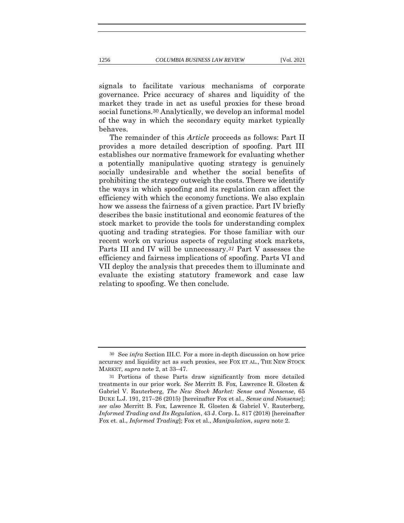signals to facilitate various mechanisms of corporate governance. Price accuracy of shares and liquidity of the market they trade in act as useful proxies for these broad social functions.30 Analytically, we develop an informal model of the way in which the secondary equity market typically

The remainder of this *Article* proceeds as follows: Part II provides a more detailed description of spoofing. Part III establishes our normative framework for evaluating whether a potentially manipulative quoting strategy is genuinely socially undesirable and whether the social benefits of prohibiting the strategy outweigh the costs. There we identify the ways in which spoofing and its regulation can affect the efficiency with which the economy functions. We also explain how we assess the fairness of a given practice. Part IV briefly describes the basic institutional and economic features of the stock market to provide the tools for understanding complex quoting and trading strategies. For those familiar with our recent work on various aspects of regulating stock markets, Parts III and IV will be unnecessary.*31* Part V assesses the efficiency and fairness implications of spoofing. Parts VI and VII deploy the analysis that precedes them to illuminate and evaluate the existing statutory framework and case law relating to spoofing. We then conclude.

behaves.

<sup>30</sup> See *infra* Section III.C*.* For a more in-depth discussion on how price accuracy and liquidity act as such proxies, see FOX ET AL., THE NEW STOCK MARKET, *supra* note 2, at 33–47.

<sup>31</sup> Portions of these Parts draw significantly from more detailed treatments in our prior work. *See* Merritt B. Fox, Lawrence R. Glosten & Gabriel V. Rauterberg, *The New Stock Market: Sense and Nonsense*, 65 DUKE L.J. 191, 217–26 (2015) [hereinafter Fox et al., *Sense and Nonsense*]; *see also* Merritt B. Fox, Lawrence R. Glosten & Gabriel V. Rauterberg, *Informed Trading and Its Regulation*, 43 J. Corp. L. 817 (2018) [hereinafter Fox et. al., *Informed Trading*]; Fox et al., *Manipulation*, *supra* note 2.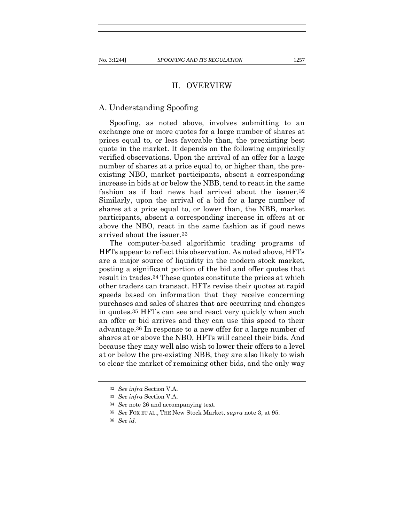## II. OVERVIEW

#### A. Understanding Spoofing

Spoofing, as noted above, involves submitting to an exchange one or more quotes for a large number of shares at prices equal to, or less favorable than, the preexisting best quote in the market. It depends on the following empirically verified observations. Upon the arrival of an offer for a large number of shares at a price equal to, or higher than, the preexisting NBO, market participants, absent a corresponding increase in bids at or below the NBB, tend to react in the same fashion as if bad news had arrived about the issuer.32 Similarly, upon the arrival of a bid for a large number of shares at a price equal to, or lower than, the NBB, market participants, absent a corresponding increase in offers at or above the NBO, react in the same fashion as if good news arrived about the issuer.33

The computer-based algorithmic trading programs of HFTs appear to reflect this observation. As noted above, HFTs are a major source of liquidity in the modern stock market, posting a significant portion of the bid and offer quotes that result in trades.34 These quotes constitute the prices at which other traders can transact. HFTs revise their quotes at rapid speeds based on information that they receive concerning purchases and sales of shares that are occurring and changes in quotes.35 HFTs can see and react very quickly when such an offer or bid arrives and they can use this speed to their advantage.36 In response to a new offer for a large number of shares at or above the NBO, HFTs will cancel their bids. And because they may well also wish to lower their offers to a level at or below the pre-existing NBB, they are also likely to wish to clear the market of remaining other bids, and the only way

<sup>32</sup> *See infra* Section V.A.

<sup>33</sup> *See infra* Section V.A.

<sup>34</sup> *See* note 26 and accompanying text.

<sup>35</sup> *See* FOX ET AL., THE New Stock Market, *supra* note 3, at 95.

<sup>36</sup> *See id.*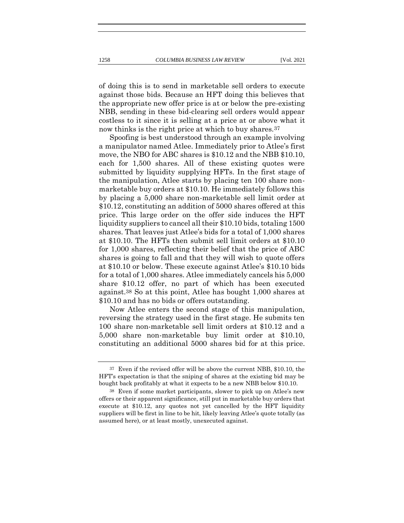of doing this is to send in marketable sell orders to execute against those bids. Because an HFT doing this believes that the appropriate new offer price is at or below the pre-existing NBB, sending in these bid-clearing sell orders would appear costless to it since it is selling at a price at or above what it now thinks is the right price at which to buy shares.<sup>37</sup>

Spoofing is best understood through an example involving a manipulator named Atlee. Immediately prior to Atlee's first move, the NBO for ABC shares is \$10.12 and the NBB \$10.10, each for 1,500 shares. All of these existing quotes were submitted by liquidity supplying HFTs. In the first stage of the manipulation, Atlee starts by placing ten 100 share nonmarketable buy orders at \$10.10. He immediately follows this by placing a 5,000 share non-marketable sell limit order at \$10.12, constituting an addition of 5000 shares offered at this price. This large order on the offer side induces the HFT liquidity suppliers to cancel all their \$10.10 bids, totaling 1500 shares. That leaves just Atlee's bids for a total of 1,000 shares at \$10.10. The HFTs then submit sell limit orders at \$10.10 for 1,000 shares, reflecting their belief that the price of ABC shares is going to fall and that they will wish to quote offers at \$10.10 or below. These execute against Atlee's \$10.10 bids for a total of 1,000 shares. Atlee immediately cancels his 5,000 share \$10.12 offer, no part of which has been executed against.38 So at this point, Atlee has bought 1,000 shares at \$10.10 and has no bids or offers outstanding.

Now Atlee enters the second stage of this manipulation, reversing the strategy used in the first stage. He submits ten 100 share non-marketable sell limit orders at \$10.12 and a 5,000 share non-marketable buy limit order at \$10.10, constituting an additional 5000 shares bid for at this price.

<sup>37</sup> Even if the revised offer will be above the current NBB, \$10.10, the HFT's expectation is that the sniping of shares at the existing bid may be bought back profitably at what it expects to be a new NBB below \$10.10.

<sup>38</sup> Even if some market participants, slower to pick up on Atlee's new offers or their apparent significance, still put in marketable buy orders that execute at \$10.12, any quotes not yet cancelled by the HFT liquidity suppliers will be first in line to be hit, likely leaving Atlee's quote totally (as assumed here), or at least mostly, unexecuted against.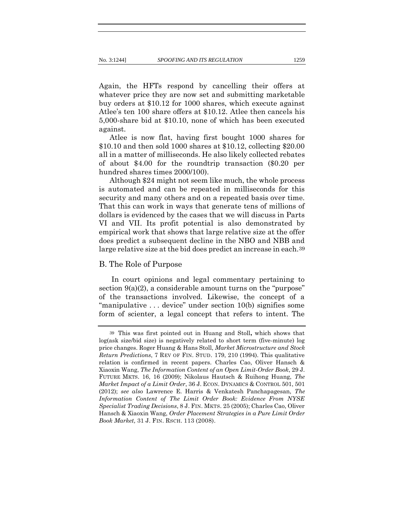Again, the HFTs respond by cancelling their offers at whatever price they are now set and submitting marketable buy orders at \$10.12 for 1000 shares, which execute against Atlee's ten 100 share offers at \$10.12. Atlee then cancels his 5,000-share bid at \$10.10, none of which has been executed against.

Atlee is now flat, having first bought 1000 shares for \$10.10 and then sold 1000 shares at \$10.12, collecting \$20.00 all in a matter of milliseconds. He also likely collected rebates of about \$4.00 for the roundtrip transaction (\$0.20 per hundred shares times 2000/100).

Although \$24 might not seem like much, the whole process is automated and can be repeated in milliseconds for this security and many others and on a repeated basis over time. That this can work in ways that generate tens of millions of dollars is evidenced by the cases that we will discuss in Parts VI and VII. Its profit potential is also demonstrated by empirical work that shows that large relative size at the offer does predict a subsequent decline in the NBO and NBB and large relative size at the bid does predict an increase in each.39

#### B. The Role of Purpose

In court opinions and legal commentary pertaining to section  $9(a)(2)$ , a considerable amount turns on the "purpose" of the transactions involved. Likewise, the concept of a "manipulative . . . device" under section 10(b) signifies some form of scienter, a legal concept that refers to intent. The

<sup>39</sup> This was first pointed out in Huang and Stoll**,** which shows that log(ask size/bid size) is negatively related to short term (five-minute) log price changes. Roger Huang & Hans Stoll, *Market Microstructure and Stock Return Predictions*, 7 REV OF FIN. STUD. 179, 210 (1994). This qualitative relation is confirmed in recent papers. Charles Cao, Oliver Hansch & Xiaoxin Wang, *The Information Content of an Open Limit-Order Book*, 29 J. FUTURE MKTS. 16, 16 (2009); Nikolaus Hautsch & Ruihong Huang, *The Market Impact of a Limit Order*, 36 J. ECON. DYNAMICS & CONTROL 501, 501 (2012); *see also* Lawrence E. Harris & Venkatesh Panchapagesan, *The Information Content of The Limit Order Book: Evidence From NYSE Specialist Trading Decisions*, 8 J. FIN. MKTS. 25 (2005); Charles Cao, Oliver Hansch & Xiaoxin Wang, *Order Placement Strategies in a Pure Limit Order Book Market,* 31 J. FIN. RSCH. 113 (2008).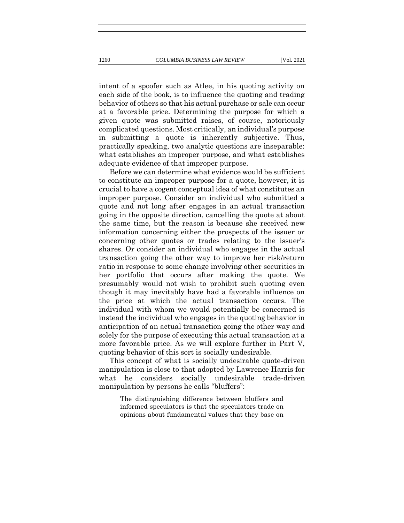intent of a spoofer such as Atlee, in his quoting activity on each side of the book, is to influence the quoting and trading behavior of others so that his actual purchase or sale can occur at a favorable price. Determining the purpose for which a given quote was submitted raises, of course, notoriously complicated questions. Most critically, an individual's purpose in submitting a quote is inherently subjective. Thus, practically speaking, two analytic questions are inseparable: what establishes an improper purpose, and what establishes adequate evidence of that improper purpose.

Before we can determine what evidence would be sufficient to constitute an improper purpose for a quote, however, it is crucial to have a cogent conceptual idea of what constitutes an improper purpose. Consider an individual who submitted a quote and not long after engages in an actual transaction going in the opposite direction, cancelling the quote at about the same time, but the reason is because she received new information concerning either the prospects of the issuer or concerning other quotes or trades relating to the issuer's shares. Or consider an individual who engages in the actual transaction going the other way to improve her risk/return ratio in response to some change involving other securities in her portfolio that occurs after making the quote. We presumably would not wish to prohibit such quoting even though it may inevitably have had a favorable influence on the price at which the actual transaction occurs. The individual with whom we would potentially be concerned is instead the individual who engages in the quoting behavior in anticipation of an actual transaction going the other way and solely for the purpose of executing this actual transaction at a more favorable price. As we will explore further in Part V, quoting behavior of this sort is socially undesirable.

This concept of what is socially undesirable quote-driven manipulation is close to that adopted by Lawrence Harris for what he considers socially undesirable trade-driven manipulation by persons he calls "bluffers":

The distinguishing difference between bluffers and informed speculators is that the speculators trade on opinions about fundamental values that they base on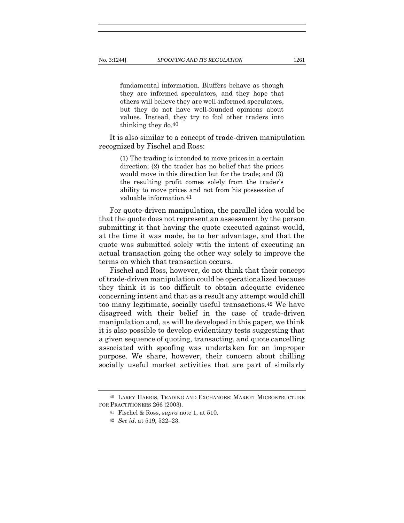fundamental information. Bluffers behave as though they are informed speculators, and they hope that others will believe they are well-informed speculators, but they do not have well-founded opinions about values. Instead, they try to fool other traders into thinking they do.40

It is also similar to a concept of trade-driven manipulation recognized by Fischel and Ross:

> (1) The trading is intended to move prices in a certain direction; (2) the trader has no belief that the prices would move in this direction but for the trade; and (3) the resulting profit comes solely from the trader's ability to move prices and not from his possession of valuable information.41

For quote-driven manipulation, the parallel idea would be that the quote does not represent an assessment by the person submitting it that having the quote executed against would, at the time it was made, be to her advantage, and that the quote was submitted solely with the intent of executing an actual transaction going the other way solely to improve the terms on which that transaction occurs.

Fischel and Ross, however, do not think that their concept of trade-driven manipulation could be operationalized because they think it is too difficult to obtain adequate evidence concerning intent and that as a result any attempt would chill too many legitimate, socially useful transactions.42 We have disagreed with their belief in the case of trade-driven manipulation and, as will be developed in this paper, we think it is also possible to develop evidentiary tests suggesting that a given sequence of quoting, transacting, and quote cancelling associated with spoofing was undertaken for an improper purpose. We share, however, their concern about chilling socially useful market activities that are part of similarly

<sup>40</sup> LARRY HARRIS, TRADING AND EXCHANGES: MARKET MICROSTRUCTURE FOR PRACTITIONERS 266 (2003).

<sup>41</sup> Fischel & Ross, *supra* note 1, at 510.

<sup>42</sup> *See id*. at 519, 522–23.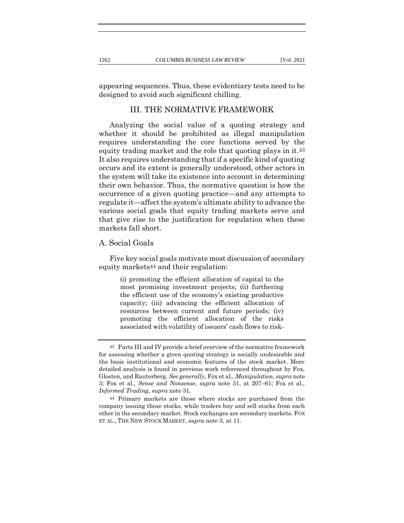appearing sequences. Thus, these evidentiary tests need to be designed to avoid such significant chilling.

# III. THE NORMATIVE FRAMEWORK

Analyzing the social value of a quoting strategy and whether it should be prohibited as illegal manipulation requires understanding the core functions served by the equity trading market and the role that quoting plays in it.43 It also requires understanding that if a specific kind of quoting occurs and its extent is generally understood, other actors in the system will take its existence into account in determining their own behavior. Thus, the normative question is how the occurrence of a given quoting practice—and any attempts to regulate it—affect the system's ultimate ability to advance the various social goals that equity trading markets serve and that give rise to the justification for regulation when these markets fall short.

#### A. Social Goals

Five key social goals motivate most discussion of secondary equity markets44 and their regulation:

> (i) promoting the efficient allocation of capital to the most promising investment projects; (ii) furthering the efficient use of the economy's existing productive capacity; (iii) advancing the efficient allocation of resources between current and future periods; (iv) promoting the efficient allocation of the risks associated with volatility of issuers' cash flows to risk-

<sup>43</sup> Parts III and IV provide a brief overview of the normative framework for assessing whether a given quoting strategy is socially undesirable and the basic institutional and economic features of the stock market. More detailed analysis is found in previous work referenced throughout by Fox, Glosten, and Rauterberg. *See generally,* Fox et al., *Manipulation*, *supra* note 3; Fox et al., *Sense and Nonsense*, *supra* note 31, at 207–61; Fox et al., *Informed Trading*, *supra* note 31.

<sup>44</sup> Primary markets are those where stocks are purchased from the company issuing those stocks, while traders buy and sell stocks from each other in the secondary market. Stock exchanges are secondary markets. FOX ET AL., THE NEW STOCK MARKET, *supra* note 3, at 11.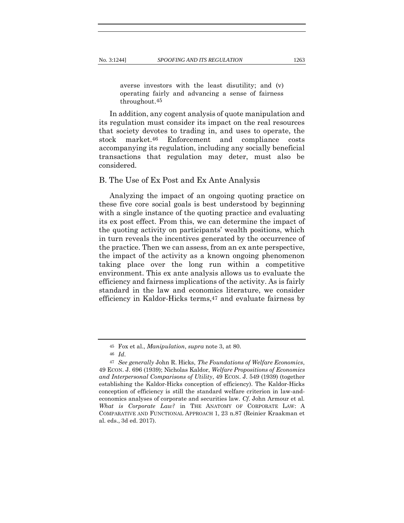averse investors with the least disutility; and (v) operating fairly and advancing a sense of fairness throughout.45

In addition, any cogent analysis of quote manipulation and its regulation must consider its impact on the real resources that society devotes to trading in, and uses to operate, the stock market.46 Enforcement and compliance costs accompanying its regulation, including any socially beneficial transactions that regulation may deter, must also be considered.

#### B. The Use of Ex Post and Ex Ante Analysis

Analyzing the impact of an ongoing quoting practice on these five core social goals is best understood by beginning with a single instance of the quoting practice and evaluating its ex post effect. From this, we can determine the impact of the quoting activity on participants' wealth positions, which in turn reveals the incentives generated by the occurrence of the practice. Then we can assess, from an ex ante perspective, the impact of the activity as a known ongoing phenomenon taking place over the long run within a competitive environment. This ex ante analysis allows us to evaluate the efficiency and fairness implications of the activity. As is fairly standard in the law and economics literature, we consider efficiency in Kaldor-Hicks terms,47 and evaluate fairness by

<sup>45</sup> Fox et al., *Manipulation*, *supra* note 3, at 80.

<sup>46</sup> *Id*.

<sup>47</sup> *See generally* John R. Hicks, *The Foundations of Welfare Economics*, 49 ECON. J. 696 (1939); Nicholas Kaldor, *Welfare Propositions of Economics and Interpersonal Comparisons of Utility*, 49 ECON. J. 549 (1939) (together establishing the Kaldor-Hicks conception of efficiency). The Kaldor-Hicks conception of efficiency is still the standard welfare criterion in law-andeconomics analyses of corporate and securities law. *Cf*. John Armour et al. *What is Corporate Law?* in THE ANATOMY OF CORPORATE LAW: A COMPARATIVE AND FUNCTIONAL APPROACH 1, 23 n.87 (Reinier Kraakman et al. eds., 3d ed. 2017).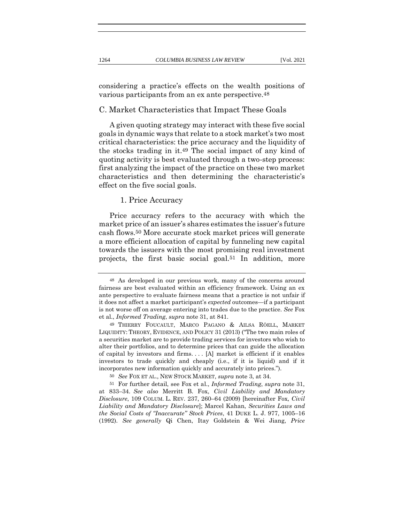considering a practice's effects on the wealth positions of various participants from an ex ante perspective.48

#### C. Market Characteristics that Impact These Goals

A given quoting strategy may interact with these five social goals in dynamic ways that relate to a stock market's two most critical characteristics: the price accuracy and the liquidity of the stocks trading in it.49 The social impact of any kind of quoting activity is best evaluated through a two-step process: first analyzing the impact of the practice on these two market characteristics and then determining the characteristic's effect on the five social goals.

#### 1. Price Accuracy

Price accuracy refers to the accuracy with which the market price of an issuer's shares estimates the issuer's future cash flows.50 More accurate stock market prices will generate a more efficient allocation of capital by funneling new capital towards the issuers with the most promising real investment projects, the first basic social goal.51 In addition, more

<sup>48</sup> As developed in our previous work, many of the concerns around fairness are best evaluated within an efficiency framework. Using an ex ante perspective to evaluate fairness means that a practice is not unfair if it does not affect a market participant's *expected* outcomes—if a participant is not worse off on average entering into trades due to the practice. *See* Fox et al., *Informed Trading*, *supra* note 31, at 841.

<sup>49</sup> THIERRY FOUCAULT, MARCO PAGANO & AILSA RÖELL, MARKET LIQUIDITY: THEORY, EVIDENCE, AND POLICY 31 (2013) ("The two main roles of a securities market are to provide trading services for investors who wish to alter their portfolios, and to determine prices that can guide the allocation of capital by investors and firms. . . . [A] market is efficient if it enables investors to trade quickly and cheaply (i.e., if it is liquid) and if it incorporates new information quickly and accurately into prices.").

<sup>50</sup> *See* FOX ET AL., NEW STOCK MARKET, *supra* note 3, at 34.

<sup>51</sup> For further detail, see Fox et al., *Informed Trading*, *supra* note 31, at 833–34. *See also* Merritt B. Fox, *Civil Liability and Mandatory Disclosure*, 109 COLUM. L. REV. 237, 260–64 (2009) [hereinafter Fox*, Civil Liability and Mandatory Disclosure*]; Marcel Kahan, *Securities Laws and the Social Costs of "Inaccurate" Stock Prices*, 41 DUKE L. J. 977, 1005–16 (1992). *See generally* Qi Chen, Itay Goldstein & Wei Jiang, *Price*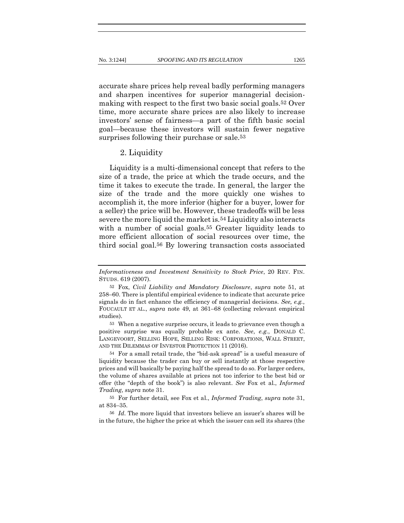accurate share prices help reveal badly performing managers and sharpen incentives for superior managerial decisionmaking with respect to the first two basic social goals.52 Over time, more accurate share prices are also likely to increase investors' sense of fairness—a part of the fifth basic social goal—because these investors will sustain fewer negative surprises following their purchase or sale.<sup>53</sup>

#### 2. Liquidity

Liquidity is a multi-dimensional concept that refers to the size of a trade, the price at which the trade occurs, and the time it takes to execute the trade. In general, the larger the size of the trade and the more quickly one wishes to accomplish it, the more inferior (higher for a buyer, lower for a seller) the price will be. However, these tradeoffs will be less severe the more liquid the market is.54 Liquidity also interacts with a number of social goals.<sup>55</sup> Greater liquidity leads to more efficient allocation of social resources over time, the third social goal.56 By lowering transaction costs associated

*Informativeness and Investment Sensitivity to Stock Price*, 20 REV. FIN. STUDS. 619 (2007).

<sup>52</sup> Fox, *Civil Liability and Mandatory Disclosure*, *supra* note 51, at 258–60. There is plentiful empirical evidence to indicate that accurate price signals do in fact enhance the efficiency of managerial decisions. *See, e.g.*, FOUCAULT ET AL., *supra* note 49, at 361–68 (collecting relevant empirical studies).

<sup>53</sup> When a negative surprise occurs, it leads to grievance even though a positive surprise was equally probable ex ante. *See*, *e.g.*, DONALD C. LANGEVOORT, SELLING HOPE, SELLING RISK: CORPORATIONS, WALL STREET, AND THE DILEMMAS OF INVESTOR PROTECTION 11 (2016).

<sup>54</sup> For a small retail trade, the "bid-ask spread" is a useful measure of liquidity because the trader can buy or sell instantly at those respective prices and will basically be paying half the spread to do so. For larger orders, the volume of shares available at prices not too inferior to the best bid or offer (the "depth of the book") is also relevant. *See* Fox et al., *Informed Trading*, *supra* note 31.

<sup>55</sup> For further detail, see Fox et al., *Informed Trading*, *supra* note 31, at 834–35.

<sup>56</sup> *Id*. The more liquid that investors believe an issuer's shares will be in the future, the higher the price at which the issuer can sell its shares (the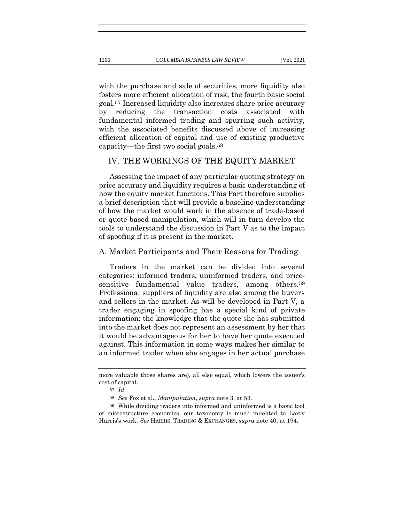with the purchase and sale of securities, more liquidity also fosters more efficient allocation of risk, the fourth basic social goal.57 Increased liquidity also increases share price accuracy by reducing the transaction costs associated with fundamental informed trading and spurring such activity, with the associated benefits discussed above of increasing efficient allocation of capital and use of existing productive capacity—the first two social goals.58

#### IV. THE WORKINGS OF THE EQUITY MARKET

Assessing the impact of any particular quoting strategy on price accuracy and liquidity requires a basic understanding of how the equity market functions. This Part therefore supplies a brief description that will provide a baseline understanding of how the market would work in the absence of trade-based or quote-based manipulation, which will in turn develop the tools to understand the discussion in Part V as to the impact of spoofing if it is present in the market.

#### A. Market Participants and Their Reasons for Trading

Traders in the market can be divided into several categories: informed traders, uninformed traders, and pricesensitive fundamental value traders, among others.59 Professional suppliers of liquidity are also among the buyers and sellers in the market. As will be developed in Part V, a trader engaging in spoofing has a special kind of private information: the knowledge that the quote she has submitted into the market does not represent an assessment by her that it would be advantageous for her to have her quote executed against. This information in some ways makes her similar to an informed trader when she engages in her actual purchase

more valuable those shares are), all else equal, which lowers the issuer's cost of capital.

<sup>57</sup> *Id*.

<sup>58</sup> *See* Fox et al., *Manipulation*, *supra* note 3, at 53.

<sup>59</sup> While dividing traders into informed and uninformed is a basic tool of microstructure economics, our taxonomy is much indebted to Larry Harris's work. *See* HARRIS, TRADING & EXCHANGES, *supra* note 40, at 194.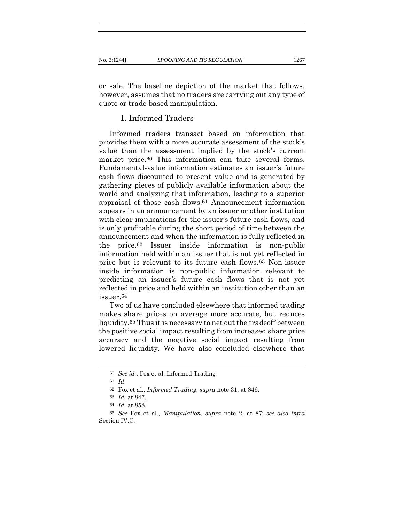or sale. The baseline depiction of the market that follows, however, assumes that no traders are carrying out any type of quote or trade-based manipulation.

# 1. Informed Traders

Informed traders transact based on information that provides them with a more accurate assessment of the stock's value than the assessment implied by the stock's current market price.60 This information can take several forms. Fundamental-value information estimates an issuer's future cash flows discounted to present value and is generated by gathering pieces of publicly available information about the world and analyzing that information, leading to a superior appraisal of those cash flows.61 Announcement information appears in an announcement by an issuer or other institution with clear implications for the issuer's future cash flows, and is only profitable during the short period of time between the announcement and when the information is fully reflected in the price.62 Issuer inside information is non-public information held within an issuer that is not yet reflected in price but is relevant to its future cash flows.63 Non-issuer inside information is non-public information relevant to predicting an issuer's future cash flows that is not yet reflected in price and held within an institution other than an issuer.64

Two of us have concluded elsewhere that informed trading makes share prices on average more accurate, but reduces liquidity.65 Thus it is necessary to net out the tradeoff between the positive social impact resulting from increased share price accuracy and the negative social impact resulting from lowered liquidity. We have also concluded elsewhere that

<sup>60</sup> *See id.*; Fox et al, Informed Trading

<sup>61</sup> *Id*.

<sup>62</sup> Fox et al., *Informed Trading*, *supra* note 31, at 846.

<sup>63</sup> *Id.* at 847.

<sup>64</sup> *Id.* at 858.

<sup>65</sup> *See* Fox et al., *Manipulation*, *supra* note 2, at 87; *see also infra* Section IV.C.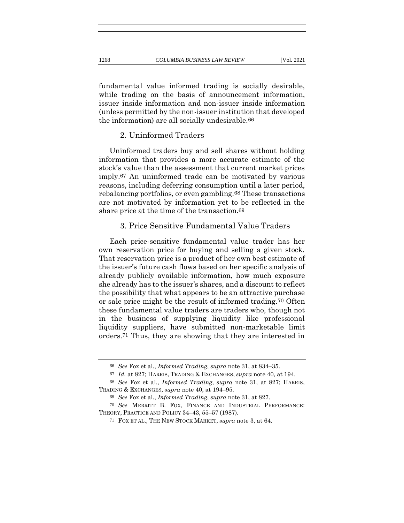fundamental value informed trading is socially desirable, while trading on the basis of announcement information, issuer inside information and non-issuer inside information (unless permitted by the non-issuer institution that developed the information) are all socially undesirable.66

# 2. Uninformed Traders

Uninformed traders buy and sell shares without holding information that provides a more accurate estimate of the stock's value than the assessment that current market prices imply.67 An uninformed trade can be motivated by various reasons, including deferring consumption until a later period, rebalancing portfolios, or even gambling.68 These transactions are not motivated by information yet to be reflected in the share price at the time of the transaction.<sup>69</sup>

# 3. Price Sensitive Fundamental Value Traders

Each price-sensitive fundamental value trader has her own reservation price for buying and selling a given stock. That reservation price is a product of her own best estimate of the issuer's future cash flows based on her specific analysis of already publicly available information, how much exposure she already has to the issuer's shares, and a discount to reflect the possibility that what appears to be an attractive purchase or sale price might be the result of informed trading.70 Often these fundamental value traders are traders who, though not in the business of supplying liquidity like professional liquidity suppliers, have submitted non-marketable limit orders.71 Thus, they are showing that they are interested in

<sup>66</sup> *See* Fox et al., *Informed Trading*, *supra* note 31, at 834–35.

<sup>67</sup> *Id.* at 827; HARRIS, TRADING & EXCHANGES, *supra* note 40, at 194.

<sup>68</sup> *See* Fox et al., *Informed Trading*, *supra* note 31, at 827; HARRIS, TRADING & EXCHANGES, *supra* note 40, at 194–95.

<sup>69</sup> *See* Fox et al., *Informed Trading*, *supra* note 31, at 827.

<sup>70</sup> *See* MERRITT B. FOX, FINANCE AND INDUSTRIAL PERFORMANCE: THEORY, PRACTICE AND POLICY 34–43, 55–57 (1987).

<sup>71</sup> FOX ET AL., THE NEW STOCK MARKET, *supra* note 3, at 64.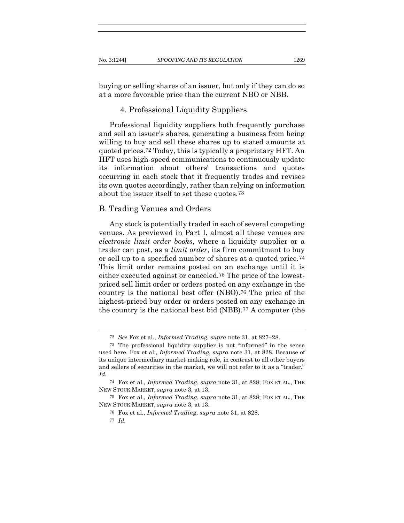buying or selling shares of an issuer, but only if they can do so at a more favorable price than the current NBO or NBB.

#### 4. Professional Liquidity Suppliers

Professional liquidity suppliers both frequently purchase and sell an issuer's shares, generating a business from being willing to buy and sell these shares up to stated amounts at quoted prices.72 Today, this is typically a proprietary HFT. An HFT uses high-speed communications to continuously update its information about others' transactions and quotes occurring in each stock that it frequently trades and revises its own quotes accordingly, rather than relying on information about the issuer itself to set these quotes.73

#### B. Trading Venues and Orders

Any stock is potentially traded in each of several competing venues. As previewed in Part I, almost all these venues are *electronic limit order books*, where a liquidity supplier or a trader can post, as a *limit order*, its firm commitment to buy or sell up to a specified number of shares at a quoted price.74 This limit order remains posted on an exchange until it is either executed against or canceled.75 The price of the lowestpriced sell limit order or orders posted on any exchange in the country is the national best offer (NBO).76 The price of the highest-priced buy order or orders posted on any exchange in the country is the national best bid (NBB).77 A computer (the

<sup>72</sup> *See* Fox et al., *Informed Trading*, *supra* note 31, at 827–28.

<sup>73</sup> The professional liquidity supplier is not "informed" in the sense used here. Fox et al., *Informed Trading*, *supra* note 31, at 828. Because of its unique intermediary market making role, in contrast to all other buyers and sellers of securities in the market, we will not refer to it as a "trader." *Id.*

<sup>74</sup> Fox et al., *Informed Trading*, *supra* note 31, at 828; FOX ET AL., THE NEW STOCK MARKET, *supra* note 3, at 13.

<sup>75</sup> Fox et al., *Informed Trading*, *supra* note 31, at 828; FOX ET AL., THE NEW STOCK MARKET, *supra* note 3, at 13.

<sup>76</sup> Fox et al., *Informed Trading*, *supra* note 31, at 828.

<sup>77</sup> *Id.*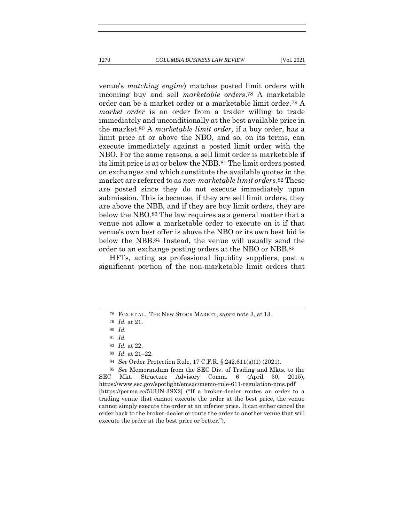venue's *matching engine*) matches posted limit orders with incoming buy and sell *marketable orders*.78 A marketable order can be a market order or a marketable limit order.79 A *market order* is an order from a trader willing to trade immediately and unconditionally at the best available price in the market.80 A *marketable limit order,* if a buy order, has a limit price at or above the NBO, and so, on its terms, can execute immediately against a posted limit order with the NBO. For the same reasons, a sell limit order is marketable if its limit price is at or below the NBB.81 The limit orders posted on exchanges and which constitute the available quotes in the market are referred to as *non-marketable limit orders*.82 These are posted since they do not execute immediately upon submission. This is because, if they are sell limit orders, they are above the NBB, and if they are buy limit orders, they are

below the NBO.83 The law requires as a general matter that a venue not allow a marketable order to execute on it if that venue's own best offer is above the NBO or its own best bid is below the NBB.84 Instead, the venue will usually send the order to an exchange posting orders at the NBO or NBB.85

HFTs, acting as professional liquidity suppliers, post a significant portion of the non-marketable limit orders that

<sup>78</sup> FOX ET AL., THE NEW STOCK MARKET, *supra* note 3, at 13.

<sup>79</sup> *Id.* at 21.

<sup>80</sup> *Id.*

<sup>81</sup> *Id.*

<sup>82</sup> *Id.* at 22.

<sup>83</sup> *Id*. at 21–22*.*

<sup>84</sup> *See* Order Protection Rule, 17 C.F.R. § 242.611(a)(1) (2021).

<sup>85</sup> *See* Memorandum from the SEC Div. of Trading and Mkts. to the SEC Mkt. Structure Advisory Comm. 6 (April 30, 2015), https://www.sec.gov/spotlight/emsac/memo-rule-611-regulation-nms.pdf [https://perma.cc/5UUN-3SX2] ("If a broker-dealer routes an order to a trading venue that cannot execute the order at the best price, the venue cannot simply execute the order at an inferior price. It can either cancel the order back to the broker-dealer or route the order to another venue that will execute the order at the best price or better.").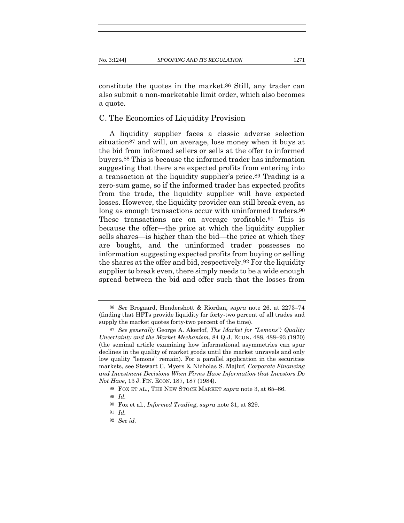constitute the quotes in the market.86 Still, any trader can also submit a non-marketable limit order, which also becomes a quote.

C. The Economics of Liquidity Provision

A liquidity supplier faces a classic adverse selection situation<sup>87</sup> and will, on average, lose money when it buys at the bid from informed sellers or sells at the offer to informed buyers.88 This is because the informed trader has information suggesting that there are expected profits from entering into a transaction at the liquidity supplier's price.89 Trading is a zero-sum game, so if the informed trader has expected profits from the trade, the liquidity supplier will have expected losses. However, the liquidity provider can still break even, as long as enough transactions occur with uninformed traders.<sup>90</sup> These transactions are on average profitable.91 This is because the offer—the price at which the liquidity supplier sells shares—is higher than the bid—the price at which they are bought, and the uninformed trader possesses no information suggesting expected profits from buying or selling the shares at the offer and bid, respectively.92 For the liquidity supplier to break even, there simply needs to be a wide enough spread between the bid and offer such that the losses from

<sup>86</sup> *See* Brogaard, Hendershott & Riordan, *supra* note 26, at 2273–74 (finding that HFTs provide liquidity for forty-two percent of all trades and supply the market quotes forty-two percent of the time).

<sup>87</sup> *See generally* George A. Akerlof, *The Market for "Lemons": Quality Uncertainty and the Market Mechanism*, 84 Q.J. ECON**.** 488, 488–93 (1970) (the seminal article examining how informational asymmetries can spur declines in the quality of market goods until the market unravels and only low quality "lemons" remain). For a parallel application in the securities markets, see Stewart C. Myers & Nicholas S. Majluf, *Corporate Financing and Investment Decisions When Firms Have Information that Investors Do Not Have*, 13 J. FIN. ECON. 187, 187 (1984).

<sup>88</sup> FOX ET AL., THE NEW STOCK MARKET *supra* note 3, at 65–66.

<sup>89</sup> *Id.*

<sup>90</sup> Fox et al., *Informed Trading*, *supra* note 31, at 829.

<sup>91</sup> *Id.*

<sup>92</sup> *See id.*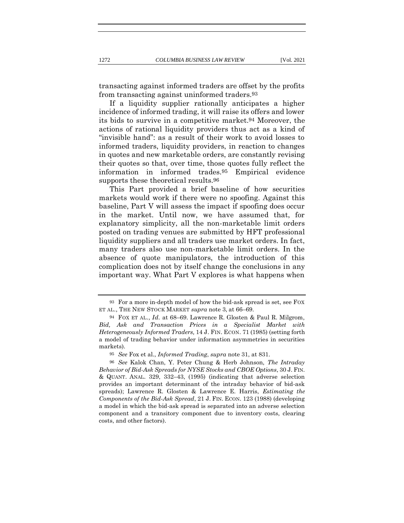transacting against informed traders are offset by the profits from transacting against uninformed traders.93

If a liquidity supplier rationally anticipates a higher incidence of informed trading, it will raise its offers and lower its bids to survive in a competitive market.94 Moreover, the actions of rational liquidity providers thus act as a kind of "invisible hand": as a result of their work to avoid losses to informed traders, liquidity providers, in reaction to changes in quotes and new marketable orders, are constantly revising their quotes so that, over time, those quotes fully reflect the information in informed trades.95 Empirical evidence supports these theoretical results.96

This Part provided a brief baseline of how securities markets would work if there were no spoofing. Against this baseline, Part V will assess the impact if spoofing does occur in the market. Until now, we have assumed that, for explanatory simplicity, all the non-marketable limit orders posted on trading venues are submitted by HFT professional liquidity suppliers and all traders use market orders. In fact, many traders also use non-marketable limit orders. In the absence of quote manipulators, the introduction of this complication does not by itself change the conclusions in any important way. What Part V explores is what happens when

<sup>93</sup> For a more in-depth model of how the bid-ask spread is set, see FOX ET AL., THE NEW STOCK MARKET *supra* note 3, at 66–69.

<sup>94</sup> FOX ET AL., *Id.* at 68–69. Lawrence R. Glosten & Paul R. Milgrom, *Bid, Ask and Transaction Prices in a Specialist Market with Heterogeneously Informed Traders,* 14 J. FIN. ECON. 71 (1985) (setting forth a model of trading behavior under information asymmetries in securities markets).

<sup>95</sup> *See* Fox et al., *Informed Trading*, *supra* note 31, at 831.

<sup>96</sup> *See* Kalok Chan, Y. Peter Chung & Herb Johnson, *The Intraday Behavior of Bid-Ask Spreads for NYSE Stocks and CBOE Options*, 30 J. FIN. & QUANT. ANAL. 329, 332–43, (1995) (indicating that adverse selection provides an important determinant of the intraday behavior of bid-ask spreads); Lawrence R. Glosten & Lawrence E. Harris, *Estimating the Components of the Bid-Ask Spread*, 21 J. FIN. ECON. 123 (1988) (developing a model in which the bid-ask spread is separated into an adverse selection component and a transitory component due to inventory costs, clearing costs, and other factors).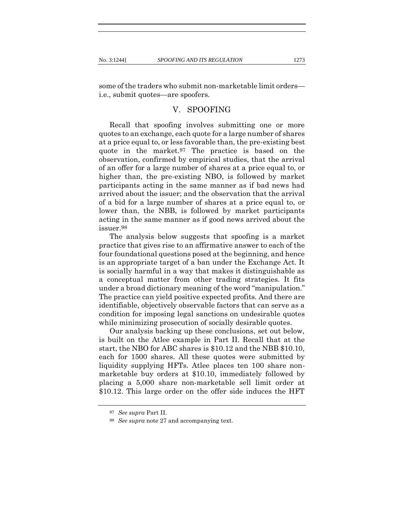some of the traders who submit non-marketable limit orders i.e., submit quotes—are spoofers.

#### V. SPOOFING

Recall that spoofing involves submitting one or more quotes to an exchange, each quote for a large number of shares at a price equal to, or less favorable than, the pre-existing best quote in the market.97 The practice is based on the observation, confirmed by empirical studies, that the arrival of an offer for a large number of shares at a price equal to, or higher than, the pre-existing NBO, is followed by market participants acting in the same manner as if bad news had arrived about the issuer; and the observation that the arrival of a bid for a large number of shares at a price equal to, or lower than, the NBB, is followed by market participants acting in the same manner as if good news arrived about the issuer.98

The analysis below suggests that spoofing is a market practice that gives rise to an affirmative answer to each of the four foundational questions posed at the beginning, and hence is an appropriate target of a ban under the Exchange Act. It is socially harmful in a way that makes it distinguishable as a conceptual matter from other trading strategies. It fits under a broad dictionary meaning of the word "manipulation." The practice can yield positive expected profits. And there are identifiable, objectively observable factors that can serve as a condition for imposing legal sanctions on undesirable quotes while minimizing prosecution of socially desirable quotes.

Our analysis backing up these conclusions, set out below, is built on the Atlee example in Part II. Recall that at the start, the NBO for ABC shares is \$10.12 and the NBB \$10.10, each for 1500 shares. All these quotes were submitted by liquidity supplying HFTs. Atlee places ten 100 share nonmarketable buy orders at \$10.10, immediately followed by placing a 5,000 share non-marketable sell limit order at \$10.12. This large order on the offer side induces the HFT

<sup>97</sup> *See supra* Part II.

<sup>98</sup> *See supra* note 27 and accompanying text.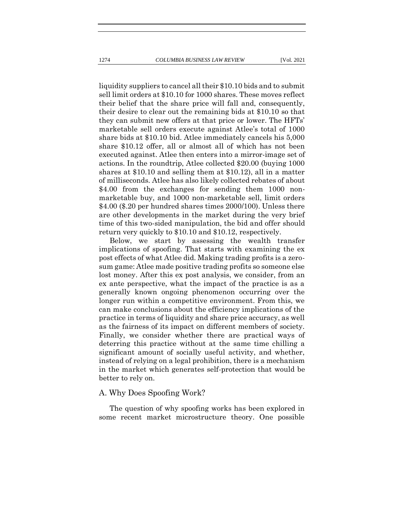liquidity suppliers to cancel all their \$10.10 bids and to submit sell limit orders at \$10.10 for 1000 shares. These moves reflect their belief that the share price will fall and, consequently, their desire to clear out the remaining bids at \$10.10 so that they can submit new offers at that price or lower. The HFTs' marketable sell orders execute against Atlee's total of 1000 share bids at \$10.10 bid. Atlee immediately cancels his 5,000 share \$10.12 offer, all or almost all of which has not been executed against. Atlee then enters into a mirror-image set of actions. In the roundtrip, Atlee collected \$20.00 (buying 1000 shares at \$10.10 and selling them at \$10.12), all in a matter of milliseconds. Atlee has also likely collected rebates of about \$4.00 from the exchanges for sending them 1000 nonmarketable buy, and 1000 non-marketable sell, limit orders \$4.00 (\$.20 per hundred shares times 2000/100). Unless there are other developments in the market during the very brief time of this two-sided manipulation, the bid and offer should return very quickly to \$10.10 and \$10.12, respectively.

Below, we start by assessing the wealth transfer implications of spoofing. That starts with examining the ex post effects of what Atlee did. Making trading profits is a zerosum game: Atlee made positive trading profits so someone else lost money. After this ex post analysis, we consider, from an ex ante perspective, what the impact of the practice is as a generally known ongoing phenomenon occurring over the longer run within a competitive environment. From this, we can make conclusions about the efficiency implications of the practice in terms of liquidity and share price accuracy, as well as the fairness of its impact on different members of society. Finally, we consider whether there are practical ways of deterring this practice without at the same time chilling a significant amount of socially useful activity, and whether, instead of relying on a legal prohibition, there is a mechanism in the market which generates self-protection that would be better to rely on.

#### A. Why Does Spoofing Work?

The question of why spoofing works has been explored in some recent market microstructure theory. One possible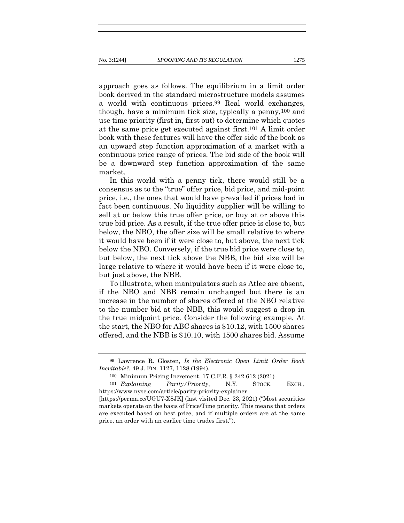approach goes as follows. The equilibrium in a limit order book derived in the standard microstructure models assumes a world with continuous prices.99 Real world exchanges, though, have a minimum tick size, typically a penny,100 and use time priority (first in, first out) to determine which quotes at the same price get executed against first.101 A limit order book with these features will have the offer side of the book as an upward step function approximation of a market with a continuous price range of prices. The bid side of the book will be a downward step function approximation of the same market.

In this world with a penny tick, there would still be a consensus as to the "true" offer price, bid price, and mid-point price, i.e., the ones that would have prevailed if prices had in fact been continuous. No liquidity supplier will be willing to sell at or below this true offer price, or buy at or above this true bid price. As a result, if the true offer price is close to, but below, the NBO, the offer size will be small relative to where it would have been if it were close to, but above, the next tick below the NBO. Conversely, if the true bid price were close to, but below, the next tick above the NBB, the bid size will be large relative to where it would have been if it were close to, but just above, the NBB.

To illustrate, when manipulators such as Atlee are absent, if the NBO and NBB remain unchanged but there is an increase in the number of shares offered at the NBO relative to the number bid at the NBB, this would suggest a drop in the true midpoint price. Consider the following example. At the start, the NBO for ABC shares is \$10.12, with 1500 shares offered, and the NBB is \$10.10, with 1500 shares bid. Assume

<sup>99</sup> Lawrence R. Glosten, *Is the Electronic Open Limit Order Book Inevitable?*, 49 J. FIN. 1127, 1128 (1994).

<sup>100</sup> Minimum Pricing Increment, 17 C.F.R. § 242.612 (2021)

<sup>101</sup> *Explaining Parity/Priority*, N.Y. STOCK. EXCH., https://www.nyse.com/article/parity-priority-explainer

<sup>[</sup>https://perma.cc/UGU7-X8JK] (last visited Dec. 23, 2021) ("Most securities markets operate on the basis of Price/Time priority. This means that orders are executed based on best price, and if multiple orders are at the same price, an order with an earlier time trades first.").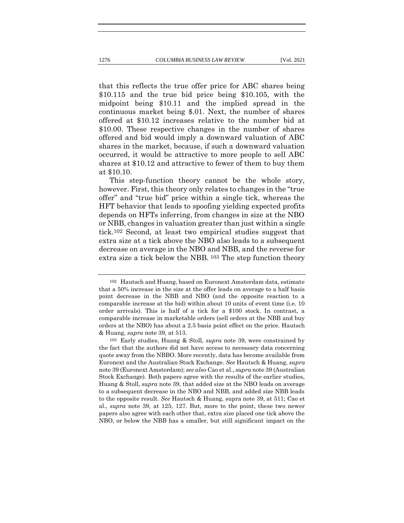that this reflects the true offer price for ABC shares being \$10.115 and the true bid price being \$10.105, with the midpoint being \$10.11 and the implied spread in the continuous market being \$.01. Next, the number of shares offered at \$10.12 increases relative to the number bid at \$10.00. These respective changes in the number of shares offered and bid would imply a downward valuation of ABC shares in the market, because, if such a downward valuation occurred, it would be attractive to more people to sell ABC shares at \$10.12 and attractive to fewer of them to buy them at \$10.10.

This step-function theory cannot be the whole story, however. First, this theory only relates to changes in the "true offer" and "true bid" price within a single tick, whereas the HFT behavior that leads to spoofing yielding expected profits depends on HFTs inferring, from changes in size at the NBO or NBB, changes in valuation greater than just within a single tick.102 Second, at least two empirical studies suggest that extra size at a tick above the NBO also leads to a subsequent decrease on average in the NBO and NBB, and the reverse for extra size a tick below the NBB. 103 The step function theory

<sup>102</sup> Hautsch and Huang, based on Euronext Amsterdam data, estimate that a 50% increase in the size at the offer leads on average to a half basis point decrease in the NBB and NBO (and the opposite reaction to a comparable increase at the bid) within about 10 units of event time (i.e. 10 order arrivals). This is half of a tick for a \$100 stock. In contrast, a comparable increase in marketable orders (sell orders at the NBB and buy orders at the NBO) has about a 2.5 basis point effect on the price. Hautsch & Huang, *supra* note 39, at 513.

<sup>103</sup> Early studies, Huang & Stoll, *supra* note 39, were constrained by the fact that the authors did not have access to necessary data concerning quote away from the NBBO. More recently, data has become available from Euronext and the Australian Stock Exchange. *See* Hautsch & Huang, *supra*  note 39 (Euronext Amsterdam); *see also* Cao et al., *supra* note 39 (Australian Stock Exchange). Both papers agree with the results of the earlier studies, Huang & Stoll, *supra* note 39, that added size at the NBO leads on average to a subsequent decrease in the NBO and NBB, and added size NBB leads to the opposite result. *See* Hautsch & Huang, supra note 39, at 511; Cao et al., *supra* note 39, at 125, 127. But, more to the point, these two newer papers also agree with each other that, extra size placed one tick above the NBO, or below the NBB has a smaller, but still significant impact on the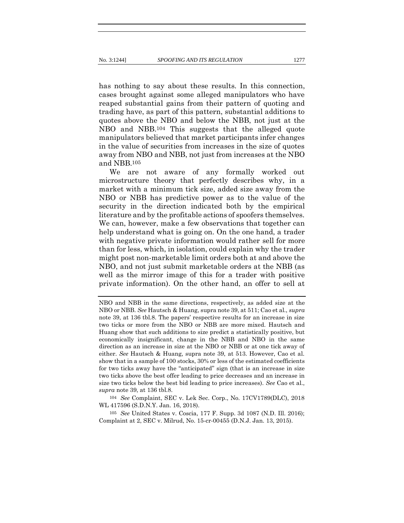has nothing to say about these results. In this connection, cases brought against some alleged manipulators who have reaped substantial gains from their pattern of quoting and trading have, as part of this pattern, substantial additions to quotes above the NBO and below the NBB, not just at the NBO and NBB.104 This suggests that the alleged quote manipulators believed that market participants infer changes in the value of securities from increases in the size of quotes away from NBO and NBB, not just from increases at the NBO and NBB.105

We are not aware of any formally worked out microstructure theory that perfectly describes why, in a market with a minimum tick size, added size away from the NBO or NBB has predictive power as to the value of the security in the direction indicated both by the empirical literature and by the profitable actions of spoofers themselves. We can, however, make a few observations that together can help understand what is going on. On the one hand, a trader with negative private information would rather sell for more than for less, which, in isolation, could explain why the trader might post non-marketable limit orders both at and above the NBO, and not just submit marketable orders at the NBB (as well as the mirror image of this for a trader with positive private information). On the other hand, an offer to sell at

104 *See* Complaint, SEC v. Lek Sec. Corp., No. 17CV1789(DLC), 2018 WL 417596 (S.D.N.Y. Jan. 16, 2018).

105 *See* United States v. Coscia, 177 F. Supp. 3d 1087 (N.D. Ill. 2016); Complaint at 2, SEC v. Milrud, No. 15-cr-00455 (D.N.J. Jan. 13, 2015).

NBO and NBB in the same directions, respectively, as added size at the NBO or NBB. *See* Hautsch & Huang, supra note 39, at 511; Cao et al., *supra*  note 39, at 136 tbl.8. The papers' respective results for an increase in size two ticks or more from the NBO or NBB are more mixed. Hautsch and Huang show that such additions to size predict a statistically positive, but economically insignificant, change in the NBB and NBO in the same direction as an increase in size at the NBO or NBB or at one tick away of either. *See* Hautsch & Huang, supra note 39, at 513. However, Cao et al. show that in a sample of 100 stocks, 30% or less of the estimated coefficients for two ticks away have the "anticipated" sign (that is an increase in size two ticks above the best offer leading to price decreases and an increase in size two ticks below the best bid leading to price increases). *See* Cao et al., *supra* note 39, at 136 tbl.8.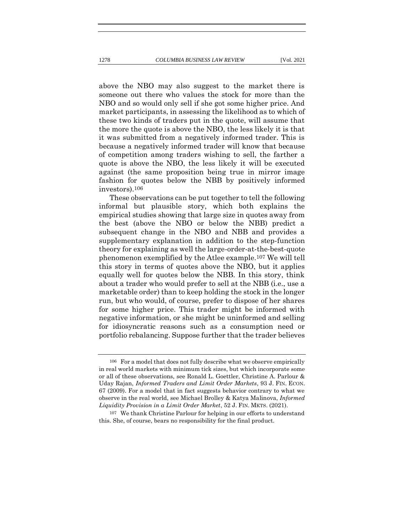above the NBO may also suggest to the market there is someone out there who values the stock for more than the NBO and so would only sell if she got some higher price. And market participants, in assessing the likelihood as to which of these two kinds of traders put in the quote, will assume that the more the quote is above the NBO, the less likely it is that it was submitted from a negatively informed trader. This is because a negatively informed trader will know that because of competition among traders wishing to sell, the farther a quote is above the NBO, the less likely it will be executed against (the same proposition being true in mirror image fashion for quotes below the NBB by positively informed investors).106

These observations can be put together to tell the following informal but plausible story, which both explains the empirical studies showing that large size in quotes away from the best (above the NBO or below the NBB) predict a subsequent change in the NBO and NBB and provides a supplementary explanation in addition to the step-function theory for explaining as well the large-order-at-the-best-quote phenomenon exemplified by the Atlee example.107 We will tell this story in terms of quotes above the NBO, but it applies equally well for quotes below the NBB. In this story, think about a trader who would prefer to sell at the NBB (i.e., use a marketable order) than to keep holding the stock in the longer run, but who would, of course, prefer to dispose of her shares for some higher price. This trader might be informed with negative information, or she might be uninformed and selling for idiosyncratic reasons such as a consumption need or portfolio rebalancing. Suppose further that the trader believes

<sup>106</sup> For a model that does not fully describe what we observe empirically in real world markets with minimum tick sizes, but which incorporate some or all of these observations, see Ronald L. Goettler, Christine A. Parlour & Uday Rajan, *Informed Traders and Limit Order Markets*, 93 J. FIN. ECON. 67 (2009). For a model that in fact suggests behavior contrary to what we observe in the real world, see Michael Brolley & Katya Malinova, *Informed Liquidity Provision in a Limit Order Market*, 52 J. FIN. MKTS. (2021).

<sup>107</sup> We thank Christine Parlour for helping in our efforts to understand this. She, of course, bears no responsibility for the final product.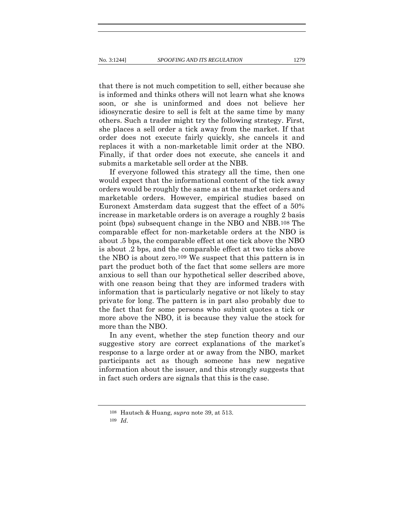that there is not much competition to sell, either because she is informed and thinks others will not learn what she knows soon, or she is uninformed and does not believe her idiosyncratic desire to sell is felt at the same time by many others. Such a trader might try the following strategy. First, she places a sell order a tick away from the market. If that order does not execute fairly quickly, she cancels it and replaces it with a non-marketable limit order at the NBO. Finally, if that order does not execute, she cancels it and submits a marketable sell order at the NBB.

If everyone followed this strategy all the time, then one would expect that the informational content of the tick away orders would be roughly the same as at the market orders and marketable orders. However, empirical studies based on Euronext Amsterdam data suggest that the effect of a 50% increase in marketable orders is on average a roughly 2 basis point (bps) subsequent change in the NBO and NBB.108 The comparable effect for non-marketable orders at the NBO is about .5 bps, the comparable effect at one tick above the NBO is about .2 bps, and the comparable effect at two ticks above the NBO is about zero.109 We suspect that this pattern is in part the product both of the fact that some sellers are more anxious to sell than our hypothetical seller described above, with one reason being that they are informed traders with information that is particularly negative or not likely to stay private for long. The pattern is in part also probably due to the fact that for some persons who submit quotes a tick or more above the NBO, it is because they value the stock for more than the NBO.

In any event, whether the step function theory and our suggestive story are correct explanations of the market's response to a large order at or away from the NBO, market participants act as though someone has new negative information about the issuer, and this strongly suggests that in fact such orders are signals that this is the case.

<sup>108</sup> Hautsch & Huang, *supra* note 39, at 513.

<sup>109</sup> *Id*.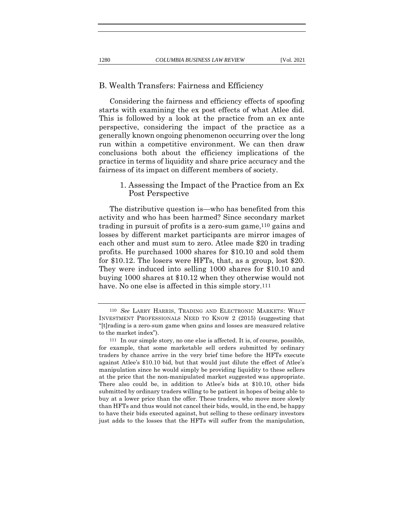#### B. Wealth Transfers: Fairness and Efficiency

Considering the fairness and efficiency effects of spoofing starts with examining the ex post effects of what Atlee did. This is followed by a look at the practice from an ex ante perspective, considering the impact of the practice as a generally known ongoing phenomenon occurring over the long run within a competitive environment. We can then draw conclusions both about the efficiency implications of the practice in terms of liquidity and share price accuracy and the fairness of its impact on different members of society.

# 1. Assessing the Impact of the Practice from an Ex Post Perspective

The distributive question is—who has benefited from this activity and who has been harmed? Since secondary market trading in pursuit of profits is a zero-sum game,110 gains and losses by different market participants are mirror images of each other and must sum to zero. Atlee made \$20 in trading profits. He purchased 1000 shares for \$10.10 and sold them for \$10.12. The losers were HFTs, that, as a group, lost \$20. They were induced into selling 1000 shares for \$10.10 and buying 1000 shares at \$10.12 when they otherwise would not have. No one else is affected in this simple story.<sup>111</sup>

<sup>110</sup> *See* LARRY HARRIS, TRADING AND ELECTRONIC MARKETS: WHAT INVESTMENT PROFESSIONALS NEED TO KNOW 2 (2015) (suggesting that "[t]rading is a zero-sum game when gains and losses are measured relative to the market index").

<sup>111</sup> In our simple story, no one else is affected. It is, of course, possible, for example, that some marketable sell orders submitted by ordinary traders by chance arrive in the very brief time before the HFTs execute against Atlee's \$10.10 bid, but that would just dilute the effect of Atlee's manipulation since he would simply be providing liquidity to these sellers at the price that the non-manipulated market suggested was appropriate. There also could be, in addition to Atlee's bids at \$10.10, other bids submitted by ordinary traders willing to be patient in hopes of being able to buy at a lower price than the offer. These traders, who move more slowly than HFTs and thus would not cancel their bids, would, in the end, be happy to have their bids executed against, but selling to these ordinary investors just adds to the losses that the HFTs will suffer from the manipulation,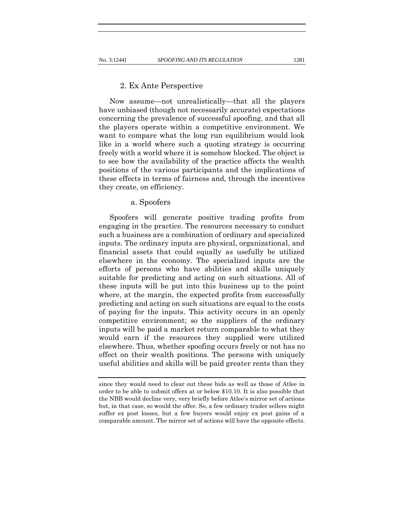#### 2. Ex Ante Perspective

Now assume—not unrealistically—that all the players have unbiased (though not necessarily accurate) expectations concerning the prevalence of successful spoofing, and that all the players operate within a competitive environment. We want to compare what the long run equilibrium would look like in a world where such a quoting strategy is occurring freely with a world where it is somehow blocked. The object is to see how the availability of the practice affects the wealth positions of the various participants and the implications of these effects in terms of fairness and, through the incentives they create, on efficiency.

## a. Spoofers

Spoofers will generate positive trading profits from engaging in the practice. The resources necessary to conduct such a business are a combination of ordinary and specialized inputs. The ordinary inputs are physical, organizational, and financial assets that could equally as usefully be utilized elsewhere in the economy. The specialized inputs are the efforts of persons who have abilities and skills uniquely suitable for predicting and acting on such situations. All of these inputs will be put into this business up to the point where, at the margin, the expected profits from successfully predicting and acting on such situations are equal to the costs of paying for the inputs. This activity occurs in an openly competitive environment; so the suppliers of the ordinary inputs will be paid a market return comparable to what they would earn if the resources they supplied were utilized elsewhere. Thus, whether spoofing occurs freely or not has no effect on their wealth positions. The persons with uniquely useful abilities and skills will be paid greater rents than they

since they would need to clear out these bids as well as those of Atlee in order to be able to submit offers at or below \$10.10. It is also possible that the NBB would decline very, very briefly before Atlee's mirror set of actions but, in that case, so would the offer. So, a few ordinary trader sellers might suffer ex post losses, but a few buyers would enjoy ex post gains of a comparable amount. The mirror set of actions will have the opposite effects.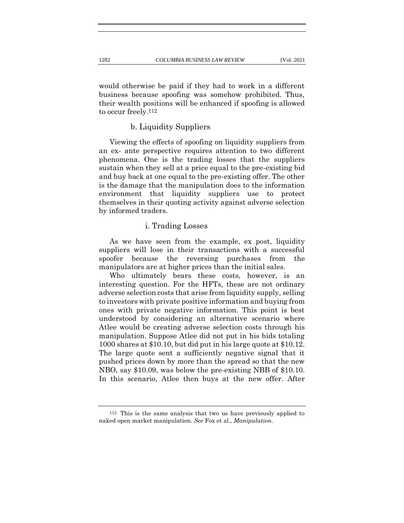would otherwise be paid if they had to work in a different business because spoofing was somehow prohibited. Thus, their wealth positions will be enhanced if spoofing is allowed to occur freely.112

# b. Liquidity Suppliers

Viewing the effects of spoofing on liquidity suppliers from an ex- ante perspective requires attention to two different phenomena. One is the trading losses that the suppliers sustain when they sell at a price equal to the pre-existing bid and buy back at one equal to the pre-existing offer. The other is the damage that the manipulation does to the information environment that liquidity suppliers use to protect themselves in their quoting activity against adverse selection by informed traders.

## i. Trading Losses

As we have seen from the example, ex post, liquidity suppliers will lose in their transactions with a successful spoofer because the reversing purchases from the manipulators are at higher prices than the initial sales.

Who ultimately bears these costs, however, is an interesting question. For the HFTs, these are not ordinary adverse selection costs that arise from liquidity supply, selling to investors with private positive information and buying from ones with private negative information. This point is best understood by considering an alternative scenario where Atlee would be creating adverse selection costs through his manipulation. Suppose Atlee did not put in his bids totaling 1000 shares at \$10.10, but did put in his large quote at \$10.12. The large quote sent a sufficiently negative signal that it pushed prices down by more than the spread so that the new NBO, say \$10.09, was below the pre-existing NBB of \$10.10. In this scenario, Atlee then buys at the new offer. After

112 This is the same analysis that two us have previously applied to naked open market manipulation. *See* Fox et al.*, Manipulation.*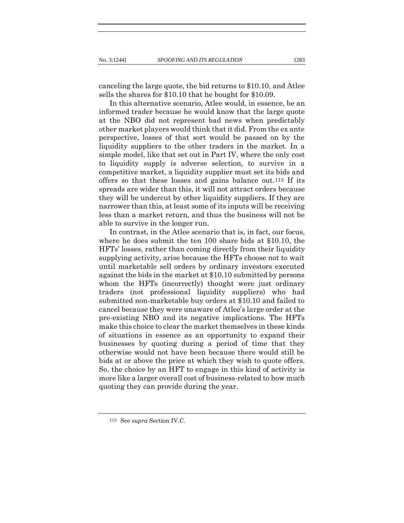canceling the large quote, the bid returns to \$10.10, and Atlee sells the shares for \$10.10 that he bought for \$10.09.

In this alternative scenario, Atlee would, in essence, be an informed trader because he would know that the large quote at the NBO did not represent bad news when predictably other market players would think that it did. From the ex ante perspective, losses of that sort would be passed on by the liquidity suppliers to the other traders in the market. In a simple model, like that set out in Part IV, where the only cost to liquidity supply is adverse selection, to survive in a competitive market, a liquidity supplier must set its bids and offers so that these losses and gains balance out.113 If its spreads are wider than this, it will not attract orders because they will be undercut by other liquidity suppliers. If they are narrower than this, at least some of its inputs will be receiving less than a market return, and thus the business will not be able to survive in the longer run.

In contrast, in the Atlee scenario that is, in fact, our focus, where he does submit the ten 100 share bids at \$10.10, the HFTs' losses, rather than coming directly from their liquidity supplying activity, arise because the HFTs choose not to wait until marketable sell orders by ordinary investors executed against the bids in the market at \$10.10 submitted by persons whom the HFTs (incorrectly) thought were just ordinary traders (not professional liquidity suppliers) who had submitted non-marketable buy orders at \$10.10 and failed to cancel because they were unaware of Atlee's large order at the pre-existing NBO and its negative implications. The HFTs make this choice to clear the market themselves in these kinds of situations in essence as an opportunity to expand their businesses by quoting during a period of time that they otherwise would not have been because there would still be bids at or above the price at which they wish to quote offers. So, the choice by an HFT to engage in this kind of activity is more like a larger overall cost of business-related to how much quoting they can provide during the year.

<sup>113</sup> See *supra* Section IV.C.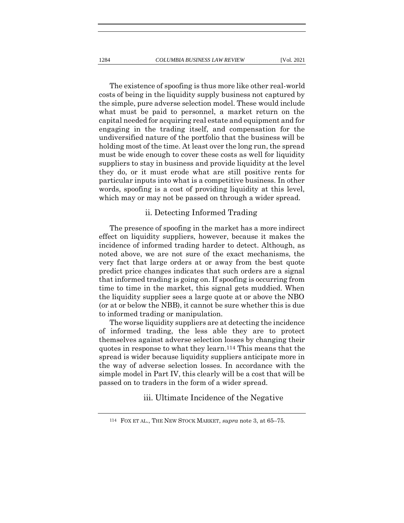The existence of spoofing is thus more like other real-world costs of being in the liquidity supply business not captured by the simple, pure adverse selection model. These would include what must be paid to personnel, a market return on the capital needed for acquiring real estate and equipment and for engaging in the trading itself, and compensation for the undiversified nature of the portfolio that the business will be holding most of the time. At least over the long run, the spread must be wide enough to cover these costs as well for liquidity suppliers to stay in business and provide liquidity at the level they do, or it must erode what are still positive rents for particular inputs into what is a competitive business. In other words, spoofing is a cost of providing liquidity at this level, which may or may not be passed on through a wider spread.

### ii. Detecting Informed Trading

The presence of spoofing in the market has a more indirect effect on liquidity suppliers, however, because it makes the incidence of informed trading harder to detect. Although, as noted above, we are not sure of the exact mechanisms, the very fact that large orders at or away from the best quote predict price changes indicates that such orders are a signal that informed trading is going on. If spoofing is occurring from time to time in the market, this signal gets muddied. When the liquidity supplier sees a large quote at or above the NBO (or at or below the NBB), it cannot be sure whether this is due to informed trading or manipulation.

The worse liquidity suppliers are at detecting the incidence of informed trading, the less able they are to protect themselves against adverse selection losses by changing their quotes in response to what they learn.114 This means that the spread is wider because liquidity suppliers anticipate more in the way of adverse selection losses. In accordance with the simple model in Part IV, this clearly will be a cost that will be passed on to traders in the form of a wider spread.

# iii. Ultimate Incidence of the Negative

<sup>114</sup> FOX ET AL., THE NEW STOCK MARKET, *supra* note 3, at 65–75.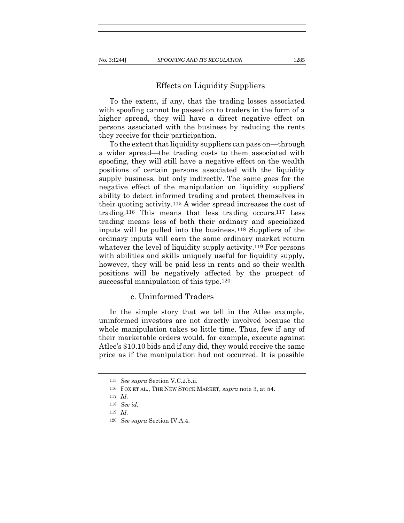### Effects on Liquidity Suppliers

To the extent, if any, that the trading losses associated with spoofing cannot be passed on to traders in the form of a higher spread, they will have a direct negative effect on persons associated with the business by reducing the rents they receive for their participation.

To the extent that liquidity suppliers can pass on—through a wider spread—the trading costs to them associated with spoofing, they will still have a negative effect on the wealth positions of certain persons associated with the liquidity supply business, but only indirectly. The same goes for the negative effect of the manipulation on liquidity suppliers' ability to detect informed trading and protect themselves in their quoting activity.115 A wider spread increases the cost of trading.116 This means that less trading occurs.117 Less trading means less of both their ordinary and specialized inputs will be pulled into the business.118 Suppliers of the ordinary inputs will earn the same ordinary market return whatever the level of liquidity supply activity.<sup>119</sup> For persons with abilities and skills uniquely useful for liquidity supply, however, they will be paid less in rents and so their wealth positions will be negatively affected by the prospect of successful manipulation of this type.120

## c. Uninformed Traders

In the simple story that we tell in the Atlee example, uninformed investors are not directly involved because the whole manipulation takes so little time. Thus, few if any of their marketable orders would, for example, execute against Atlee's \$10.10 bids and if any did, they would receive the same price as if the manipulation had not occurred. It is possible

<sup>115</sup> *See supra* Section V.C.2.b.ii.

<sup>116</sup> FOX ET AL., THE NEW STOCK MARKET, *supra* note 3, at 54.

<sup>117</sup> *Id.*

<sup>118</sup> *See id.*

<sup>119</sup> *Id.*

<sup>120</sup> *See supra* Section IV.A.4.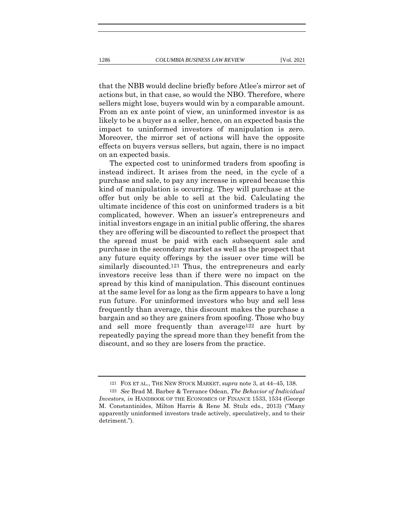that the NBB would decline briefly before Atlee's mirror set of actions but, in that case, so would the NBO. Therefore, where sellers might lose, buyers would win by a comparable amount. From an ex ante point of view, an uninformed investor is as likely to be a buyer as a seller, hence, on an expected basis the impact to uninformed investors of manipulation is zero. Moreover, the mirror set of actions will have the opposite effects on buyers versus sellers, but again, there is no impact

on an expected basis. The expected cost to uninformed traders from spoofing is instead indirect. It arises from the need, in the cycle of a purchase and sale, to pay any increase in spread because this kind of manipulation is occurring. They will purchase at the offer but only be able to sell at the bid. Calculating the ultimate incidence of this cost on uninformed traders is a bit complicated, however. When an issuer's entrepreneurs and initial investors engage in an initial public offering, the shares they are offering will be discounted to reflect the prospect that the spread must be paid with each subsequent sale and purchase in the secondary market as well as the prospect that any future equity offerings by the issuer over time will be similarly discounted.121 Thus, the entrepreneurs and early investors receive less than if there were no impact on the spread by this kind of manipulation. This discount continues at the same level for as long as the firm appears to have a long run future. For uninformed investors who buy and sell less frequently than average, this discount makes the purchase a bargain and so they are gainers from spoofing. Those who buy and sell more frequently than average122 are hurt by repeatedly paying the spread more than they benefit from the discount, and so they are losers from the practice.

<sup>121</sup> FOX ET AL., THE NEW STOCK MARKET, *supra* note 3, at 44–45, 138.

<sup>122</sup> *See* Brad M. Barber & Terrance Odean, *The Behavior of Individual Investors, in* HANDBOOK OF THE ECONOMICS OF FINANCE 1533, 1534 (George M. Constantinides, Milton Harris & Rene M. Stulz eds., 2013) ("Many apparently uninformed investors trade actively, speculatively, and to their detriment.").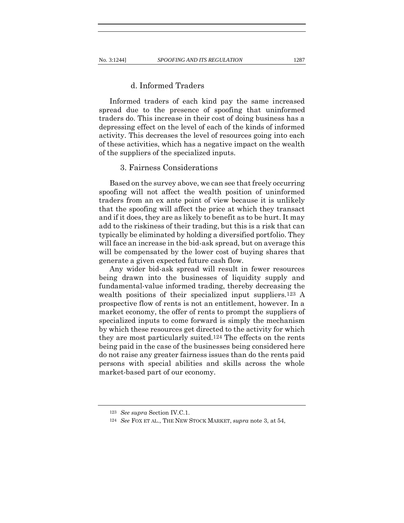## d. Informed Traders

Informed traders of each kind pay the same increased spread due to the presence of spoofing that uninformed traders do. This increase in their cost of doing business has a depressing effect on the level of each of the kinds of informed activity. This decreases the level of resources going into each of these activities, which has a negative impact on the wealth of the suppliers of the specialized inputs.

## 3. Fairness Considerations

Based on the survey above, we can see that freely occurring spoofing will not affect the wealth position of uninformed traders from an ex ante point of view because it is unlikely that the spoofing will affect the price at which they transact and if it does, they are as likely to benefit as to be hurt. It may add to the riskiness of their trading, but this is a risk that can typically be eliminated by holding a diversified portfolio. They will face an increase in the bid-ask spread, but on average this will be compensated by the lower cost of buying shares that generate a given expected future cash flow.

Any wider bid-ask spread will result in fewer resources being drawn into the businesses of liquidity supply and fundamental-value informed trading, thereby decreasing the wealth positions of their specialized input suppliers.123 A prospective flow of rents is not an entitlement, however. In a market economy, the offer of rents to prompt the suppliers of specialized inputs to come forward is simply the mechanism by which these resources get directed to the activity for which they are most particularly suited.124 The effects on the rents being paid in the case of the businesses being considered here do not raise any greater fairness issues than do the rents paid persons with special abilities and skills across the whole market-based part of our economy.

<sup>123</sup> *See supra* Section IV.C.1.

<sup>124</sup> *See* FOX ET AL., THE NEW STOCK MARKET, *supra* note 3, at 54,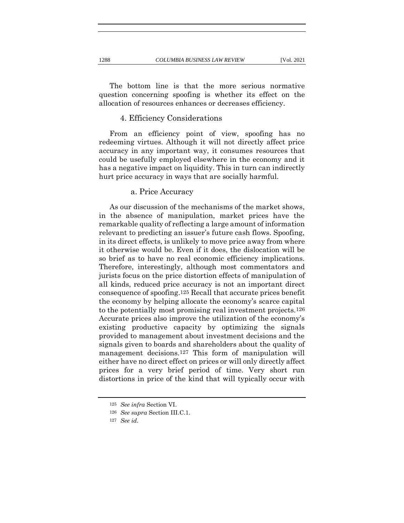The bottom line is that the more serious normative question concerning spoofing is whether its effect on the allocation of resources enhances or decreases efficiency.

#### 4. Efficiency Considerations

From an efficiency point of view, spoofing has no redeeming virtues. Although it will not directly affect price accuracy in any important way, it consumes resources that could be usefully employed elsewhere in the economy and it has a negative impact on liquidity. This in turn can indirectly hurt price accuracy in ways that are socially harmful.

#### a. Price Accuracy

As our discussion of the mechanisms of the market shows, in the absence of manipulation, market prices have the remarkable quality of reflecting a large amount of information relevant to predicting an issuer's future cash flows. Spoofing, in its direct effects, is unlikely to move price away from where it otherwise would be. Even if it does, the dislocation will be so brief as to have no real economic efficiency implications. Therefore, interestingly, although most commentators and jurists focus on the price distortion effects of manipulation of all kinds, reduced price accuracy is not an important direct consequence of spoofing.125 Recall that accurate prices benefit the economy by helping allocate the economy's scarce capital to the potentially most promising real investment projects.126 Accurate prices also improve the utilization of the economy's existing productive capacity by optimizing the signals provided to management about investment decisions and the signals given to boards and shareholders about the quality of management decisions.127 This form of manipulation will either have no direct effect on prices or will only directly affect prices for a very brief period of time. Very short run distortions in price of the kind that will typically occur with

<sup>125</sup> *See infra* Section VI.

<sup>126</sup> *See supra* Section III.C.1.

<sup>127</sup> *See id.*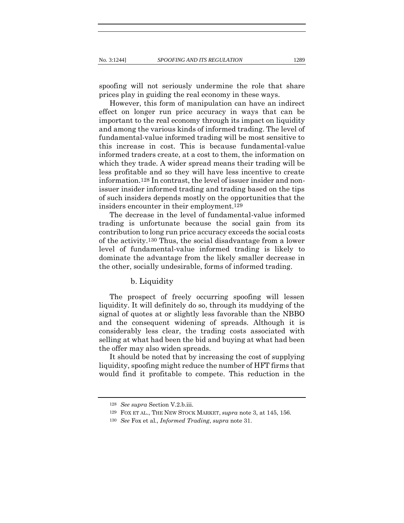spoofing will not seriously undermine the role that share prices play in guiding the real economy in these ways.

However, this form of manipulation can have an indirect effect on longer run price accuracy in ways that can be important to the real economy through its impact on liquidity and among the various kinds of informed trading. The level of fundamental-value informed trading will be most sensitive to this increase in cost. This is because fundamental-value informed traders create, at a cost to them, the information on which they trade. A wider spread means their trading will be less profitable and so they will have less incentive to create information.128 In contrast, the level of issuer insider and nonissuer insider informed trading and trading based on the tips of such insiders depends mostly on the opportunities that the insiders encounter in their employment.129

The decrease in the level of fundamental-value informed trading is unfortunate because the social gain from its contribution to long run price accuracy exceeds the social costs of the activity.130 Thus, the social disadvantage from a lower level of fundamental-value informed trading is likely to dominate the advantage from the likely smaller decrease in the other, socially undesirable, forms of informed trading.

#### b. Liquidity

The prospect of freely occurring spoofing will lessen liquidity. It will definitely do so, through its muddying of the signal of quotes at or slightly less favorable than the NBBO and the consequent widening of spreads. Although it is considerably less clear, the trading costs associated with selling at what had been the bid and buying at what had been the offer may also widen spreads.

It should be noted that by increasing the cost of supplying liquidity, spoofing might reduce the number of HFT firms that would find it profitable to compete. This reduction in the

<sup>128</sup> *See supra* Section V.2.b.iii.

<sup>129</sup> FOX ET AL., THE NEW STOCK MARKET, *supra* note 3, at 145, 156.

<sup>130</sup> *See* Fox et al., *Informed Trading*, *supra* note 31.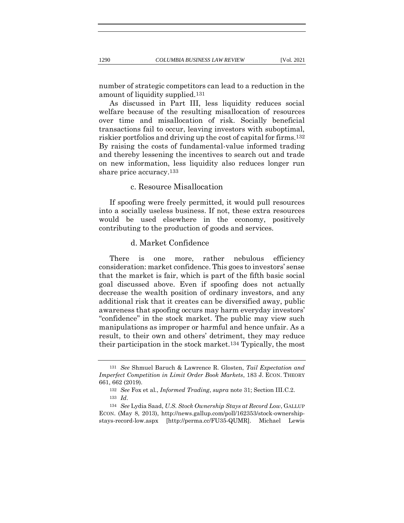number of strategic competitors can lead to a reduction in the amount of liquidity supplied.131

As discussed in Part III, less liquidity reduces social welfare because of the resulting misallocation of resources over time and misallocation of risk. Socially beneficial transactions fail to occur, leaving investors with suboptimal, riskier portfolios and driving up the cost of capital for firms.132 By raising the costs of fundamental-value informed trading and thereby lessening the incentives to search out and trade on new information, less liquidity also reduces longer run share price accuracy.133

## c. Resource Misallocation

If spoofing were freely permitted, it would pull resources into a socially useless business. If not, these extra resources would be used elsewhere in the economy, positively contributing to the production of goods and services.

## d. Market Confidence

There is one more, rather nebulous efficiency consideration: market confidence. This goes to investors' sense that the market is fair, which is part of the fifth basic social goal discussed above. Even if spoofing does not actually decrease the wealth position of ordinary investors, and any additional risk that it creates can be diversified away, public awareness that spoofing occurs may harm everyday investors' "confidence" in the stock market. The public may view such manipulations as improper or harmful and hence unfair. As a result, to their own and others' detriment, they may reduce their participation in the stock market.134 Typically, the most

<sup>131</sup> *See* Shmuel Baruch & Lawrence R. Glosten, *Tail Expectation and Imperfect Competition in Limit Order Book Markets*, 183 J. ECON. THEORY 661, 662 (2019).

<sup>132</sup> *See* Fox et al., *Informed Trading*, *supra* note 31; Section III.C.2.

<sup>133</sup> *Id*.

<sup>134</sup> *See* Lydia Saad, *U.S. Stock Ownership Stays at Record Low*, GALLUP ECON. (May 8, 2013), http://news.gallup.com/poll/162353/stock-ownershipstays-record-low.aspx [http://perma.cc/FU35-QUMR]. Michael Lewis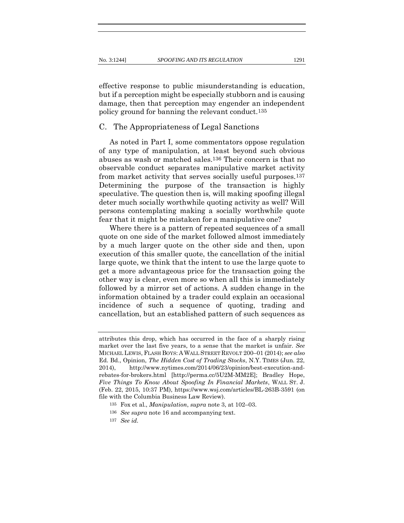effective response to public misunderstanding is education, but if a perception might be especially stubborn and is causing damage, then that perception may engender an independent policy ground for banning the relevant conduct.135

## C. The Appropriateness of Legal Sanctions

As noted in Part I, some commentators oppose regulation of any type of manipulation, at least beyond such obvious abuses as wash or matched sales.136 Their concern is that no observable conduct separates manipulative market activity from market activity that serves socially useful purposes.137 Determining the purpose of the transaction is highly speculative. The question then is, will making spoofing illegal deter much socially worthwhile quoting activity as well? Will persons contemplating making a socially worthwhile quote fear that it might be mistaken for a manipulative one?

Where there is a pattern of repeated sequences of a small quote on one side of the market followed almost immediately by a much larger quote on the other side and then, upon execution of this smaller quote, the cancellation of the initial large quote, we think that the intent to use the large quote to get a more advantageous price for the transaction going the other way is clear, even more so when all this is immediately followed by a mirror set of actions. A sudden change in the information obtained by a trader could explain an occasional incidence of such a sequence of quoting, trading and cancellation, but an established pattern of such sequences as

attributes this drop, which has occurred in the face of a sharply rising market over the last five years, to a sense that the market is unfair. *See*  MICHAEL LEWIS, FLASH BOYS: A WALL STREET REVOLT 200–01 (2014); *see also*  Ed. Bd., Opinion, *The Hidden Cost of Trading Stocks*, N.Y. TIMES (Jun. 22, 2014), http://www.nytimes.com/2014/06/23/opinion/best-execution-andrebates-for-brokers.html [http://perma.cc/5U2M-MM2E]; Bradley Hope, *Five Things To Know About Spoofing In Financial Markets*, WALL ST. J. (Feb. 22, 2015, 10:37 PM), https://www.wsj.com/articles/BL-263B-3591 (on file with the Columbia Business Law Review).

<sup>135</sup> Fox et al., *Manipulation*, *supra* note 3, at 102–03.

<sup>136</sup> *See supra* note 16 and accompanying text.

<sup>137</sup> *See id.*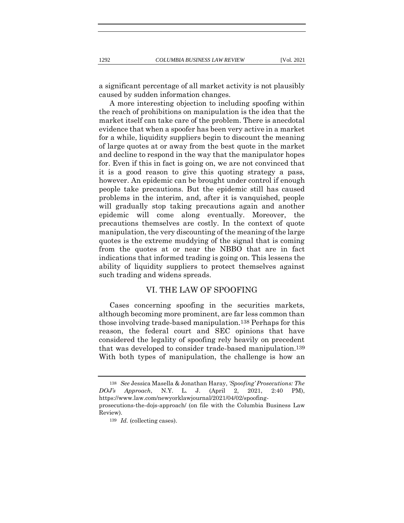a significant percentage of all market activity is not plausibly caused by sudden information changes.

A more interesting objection to including spoofing within the reach of prohibitions on manipulation is the idea that the market itself can take care of the problem. There is anecdotal evidence that when a spoofer has been very active in a market for a while, liquidity suppliers begin to discount the meaning of large quotes at or away from the best quote in the market and decline to respond in the way that the manipulator hopes for. Even if this in fact is going on, we are not convinced that it is a good reason to give this quoting strategy a pass, however. An epidemic can be brought under control if enough people take precautions. But the epidemic still has caused problems in the interim, and, after it is vanquished, people will gradually stop taking precautions again and another epidemic will come along eventually. Moreover, the precautions themselves are costly. In the context of quote manipulation, the very discounting of the meaning of the large quotes is the extreme muddying of the signal that is coming from the quotes at or near the NBBO that are in fact indications that informed trading is going on. This lessens the ability of liquidity suppliers to protect themselves against such trading and widens spreads.

### VI. THE LAW OF SPOOFING

Cases concerning spoofing in the securities markets, although becoming more prominent, are far less common than those involving trade-based manipulation.138 Perhaps for this reason, the federal court and SEC opinions that have considered the legality of spoofing rely heavily on precedent that was developed to consider trade-based manipulation.139 With both types of manipulation, the challenge is how an

<sup>138</sup> *See* Jessica Masella & Jonathan Haray, *'Spoofing' Prosecutions: The DOJ's Approach*, N.Y. L. J. (April 2, 2021, 2:40 PM), https://www.law.com/newyorklawjournal/2021/04/02/spoofing-

prosecutions-the-dojs-approach/ (on file with the Columbia Business Law Review).

<sup>139</sup> *Id.* (collecting cases).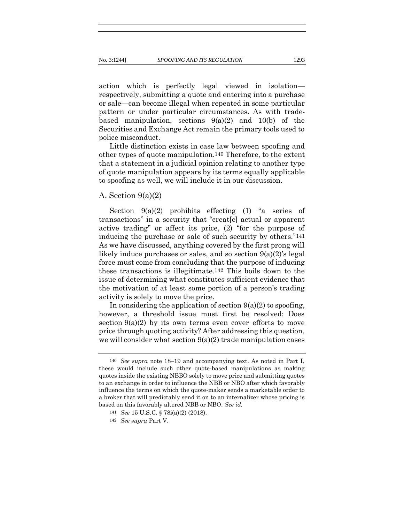action which is perfectly legal viewed in isolation respectively, submitting a quote and entering into a purchase or sale—can become illegal when repeated in some particular pattern or under particular circumstances. As with tradebased manipulation, sections  $9(a)(2)$  and  $10(b)$  of the Securities and Exchange Act remain the primary tools used to police misconduct.

Little distinction exists in case law between spoofing and other types of quote manipulation.140 Therefore, to the extent that a statement in a judicial opinion relating to another type of quote manipulation appears by its terms equally applicable to spoofing as well, we will include it in our discussion.

# A. Section  $9(a)(2)$

Section  $9(a)(2)$  prohibits effecting (1) "a series of transactions" in a security that "creat[e] actual or apparent active trading" or affect its price, (2) "for the purpose of inducing the purchase or sale of such security by others."141 As we have discussed, anything covered by the first prong will likely induce purchases or sales, and so section 9(a)(2)'s legal force must come from concluding that the purpose of inducing these transactions is illegitimate.142 This boils down to the issue of determining what constitutes sufficient evidence that the motivation of at least some portion of a person's trading activity is solely to move the price.

In considering the application of section  $9(a)(2)$  to spoofing, however, a threshold issue must first be resolved: Does section  $9(a)(2)$  by its own terms even cover efforts to move price through quoting activity? After addressing this question, we will consider what section  $9(a)(2)$  trade manipulation cases

<sup>140</sup> *See supra* note 18–19 and accompanying text. As noted in Part I, these would include such other quote-based manipulations as making quotes inside the existing NBBO solely to move price and submitting quotes to an exchange in order to influence the NBB or NBO after which favorably influence the terms on which the quote-maker sends a marketable order to a broker that will predictably send it on to an internalizer whose pricing is based on this favorably altered NBB or NBO. *See id.*

<sup>141</sup> *See* 15 U.S.C. § 78i(a)(2) (2018).

<sup>142</sup> *See supra* Part V.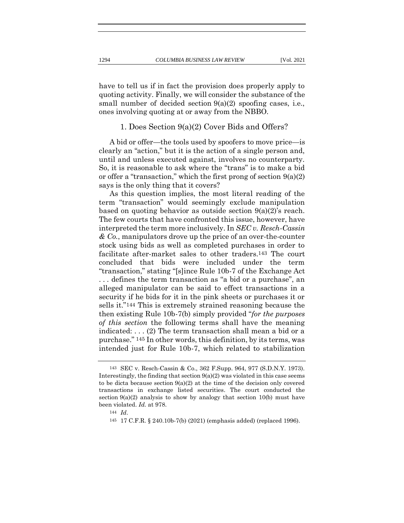have to tell us if in fact the provision does properly apply to quoting activity. Finally, we will consider the substance of the small number of decided section 9(a)(2) spoofing cases, i.e., ones involving quoting at or away from the NBBO.

## 1. Does Section 9(a)(2) Cover Bids and Offers?

A bid or offer—the tools used by spoofers to move price—is clearly an "action," but it is the action of a single person and, until and unless executed against, involves no counterparty. So, it is reasonable to ask where the "trans" is to make a bid or offer a "transaction," which the first prong of section  $9(a)(2)$ says is the only thing that it covers?

As this question implies, the most literal reading of the term "transaction" would seemingly exclude manipulation based on quoting behavior as outside section  $9(a)(2)$ 's reach. The few courts that have confronted this issue, however, have interpreted the term more inclusively. In *SEC v. Resch-Cassin & Co.*, manipulators drove up the price of an over-the-counter stock using bids as well as completed purchases in order to facilitate after-market sales to other traders.143 The court concluded that bids were included under the term "transaction," stating "[s]ince Rule 10b-7 of the Exchange Act . . . defines the term transaction as "a bid or a purchase", an alleged manipulator can be said to effect transactions in a security if he bids for it in the pink sheets or purchases it or sells it."144 This is extremely strained reasoning because the then existing Rule 10b-7(b) simply provided "*for the purposes of this section* the following terms shall have the meaning indicated: . . . (2) The term transaction shall mean a bid or a purchase." 145 In other words, this definition, by its terms, was intended just for Rule 10b-7, which related to stabilization

<sup>143</sup> SEC v. Resch-Cassin & Co., 362 F.Supp. 964, 977 (S.D.N.Y. 1973). Interestingly, the finding that section  $9(a)(2)$  was violated in this case seems to be dicta because section  $9(a)(2)$  at the time of the decision only covered transactions in exchange listed securities. The court conducted the section  $9(a)(2)$  analysis to show by analogy that section 10(b) must have been violated. *Id.* at 978.

<sup>144</sup> *Id*.

<sup>145</sup> 17 C.F.R. § 240.10b-7(b) (2021) (emphasis added) (replaced 1996).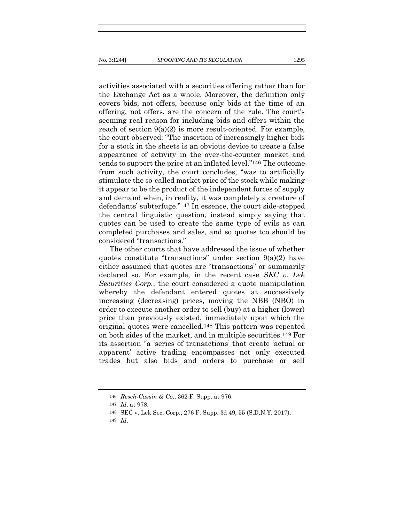activities associated with a securities offering rather than for the Exchange Act as a whole. Moreover, the definition only covers bids, not offers, because only bids at the time of an offering, not offers, are the concern of the rule. The court's seeming real reason for including bids and offers within the reach of section 9(a)(2) is more result-oriented. For example, the court observed: "The insertion of increasingly higher bids for a stock in the sheets is an obvious device to create a false appearance of activity in the over-the-counter market and tends to support the price at an inflated level."146 The outcome from such activity, the court concludes, "was to artificially stimulate the so-called market price of the stock while making it appear to be the product of the independent forces of supply and demand when, in reality, it was completely a creature of defendants' subterfuge."147 In essence, the court side-stepped the central linguistic question, instead simply saying that quotes can be used to create the same type of evils as can completed purchases and sales, and so quotes too should be considered "transactions."

The other courts that have addressed the issue of whether quotes constitute "transactions" under section 9(a)(2) have either assumed that quotes are "transactions" or summarily declared so. For example, in the recent case *SEC v. Lek Securities Corp.*, the court considered a quote manipulation whereby the defendant entered quotes at successively increasing (decreasing) prices, moving the NBB (NBO) in order to execute another order to sell (buy) at a higher (lower) price than previously existed, immediately upon which the original quotes were cancelled.148 This pattern was repeated on both sides of the market, and in multiple securities.149 For its assertion "a 'series of transactions' that create 'actual or apparent' active trading encompasses not only executed trades but also bids and orders to purchase or sell

<sup>146</sup> *Resch-Cassin & Co*., 362 F. Supp. at 976.

<sup>147</sup> *Id*. at 978.

<sup>148</sup> SEC v. Lek Sec. Corp., 276 F. Supp. 3d 49, 55 (S.D.N.Y. 2017).

<sup>149</sup> *Id*.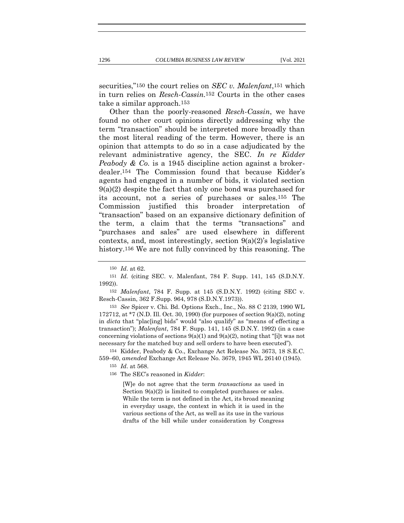securities,"150 the court relies on *SEC v. Malenfant*,151 which in turn relies on *Resch-Cassin.*152 Courts in the other cases take a similar approach.153

Other than the poorly-reasoned *Resch-Cassin*, we have found no other court opinions directly addressing why the term "transaction" should be interpreted more broadly than the most literal reading of the term. However, there is an opinion that attempts to do so in a case adjudicated by the relevant administrative agency, the SEC. *In re Kidder Peabody & Co.* is a 1945 discipline action against a brokerdealer.154 The Commission found that because Kidder's agents had engaged in a number of bids, it violated section  $9(a)(2)$  despite the fact that only one bond was purchased for its account, not a series of purchases or sales.155 The Commission justified this broader interpretation of "transaction" based on an expansive dictionary definition of the term, a claim that the terms "transactions" and "purchases and sales" are used elsewhere in different contexts, and, most interestingly, section 9(a)(2)'s legislative history.<sup>156</sup> We are not fully convinced by this reasoning. The

151 *Id.* (citing SEC. v. Malenfant, 784 F. Supp. 141, 145 (S.D.N.Y. 1992)).

152 *Malenfant*, 784 F. Supp. at 145 (S.D.N.Y. 1992) (citing SEC v. Resch-Cassin, 362 F.Supp. 964, 978 (S.D.N.Y.1973)).

153 *See* Spicer v. Chi. Bd. Options Exch., Inc., No. 88 C 2139, 1990 WL 172712, at  $*7$  (N.D. Ill. Oct. 30, 1990) (for purposes of section 9(a)(2), noting in *dicta* that "plac[ing] bids" would "also qualify" as "means of effecting a transaction"); *Malenfant*, 784 F. Supp. 141, 145 (S.D.N.Y. 1992) (in a case concerning violations of sections  $9(a)(1)$  and  $9(a)(2)$ , noting that "[i]t was not necessary for the matched buy and sell orders to have been executed").

154 Kidder, Peabody & Co., Exchange Act Release No. 3673, 18 S.E.C. 559–60, *amended* Exchange Act Release No. 3679, 1945 WL 26140 (1945). 155 *Id*. at 568.

156 The SEC's reasoned in *Kidder*:

[W]e do not agree that the term *transactions* as used in Section  $9(a)(2)$  is limited to completed purchases or sales. While the term is not defined in the Act, its broad meaning in everyday usage, the context in which it is used in the various sections of the Act, as well as its use in the various drafts of the bill while under consideration by Congress

<sup>150</sup> *Id*. at 62.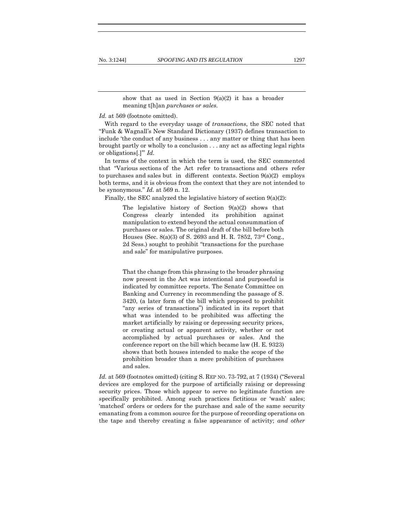show that as used in Section  $9(a)(2)$  it has a broader meaning t[h]an *purchases or sales*.

*Id.* at 569 (footnote omitted).

With regard to the everyday usage of *transactions*, the SEC noted that "Funk & Wagnall's New Standard Dictionary (1937) defines transaction to include 'the conduct of any business . . . any matter or thing that has been brought partly or wholly to a conclusion . . . any act as affecting legal rights or obligations[.]'" *Id.*

In terms of the context in which the term is used, the SEC commented that "Various sections of the Act refer to transactions and others refer to purchases and sales but in different contexts. Section  $9(a)(2)$  employs both terms, and it is obvious from the context that they are not intended to be synonymous." *Id.* at 569 n. 12.

Finally, the SEC analyzed the legislative history of section  $9(a)(2)$ :

The legislative history of Section  $9(a)(2)$  shows that Congress clearly intended its prohibition against manipulation to extend beyond the actual consummation of purchases or sales. The original draft of the bill before both Houses (Sec. 8(a)(3) of S. 2693 and H. R. 7852, 73rd Cong., 2d Sess.) sought to prohibit "transactions for the purchase and sale" for manipulative purposes.

That the change from this phrasing to the broader phrasing now present in the Act was intentional and purposeful is indicated by committee reports. The Senate Committee on Banking and Currency in recommending the passage of S. 3420, (a later form of the bill which proposed to prohibit "any series of transactions") indicated in its report that what was intended to be prohibited was affecting the market artificially by raising or depressing security prices, or creating actual or apparent activity, whether or not accomplished by actual purchases or sales. And the conference report on the bill which became law (H. E. 9323) shows that both houses intended to make the scope of the prohibition broader than a mere prohibition of purchases and sales.

*Id.* at 569 (footnotes omitted) (citing S. REP NO. 73-792, at 7 (1934) ("Several devices are employed for the purpose of artificially raising or depressing security prices. Those which appear to serve no legitimate function are specifically prohibited. Among such practices fictitious or 'wash' sales; 'matched' orders or orders for the purchase and sale of the same security emanating from a common source for the purpose of recording operations on the tape and thereby creating a false appearance of activity; *and other*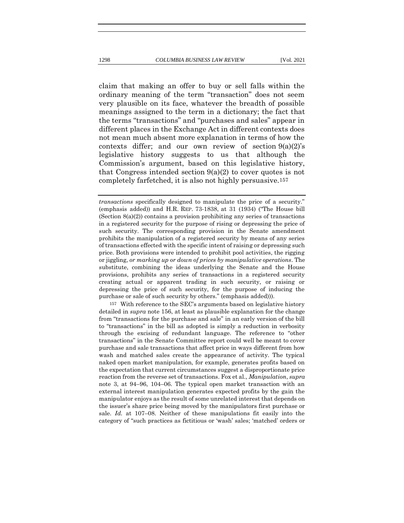claim that making an offer to buy or sell falls within the ordinary meaning of the term "transaction" does not seem very plausible on its face, whatever the breadth of possible meanings assigned to the term in a dictionary; the fact that the terms "transactions" and "purchases and sales" appear in different places in the Exchange Act in different contexts does not mean much absent more explanation in terms of how the contexts differ; and our own review of section  $9(a)(2)$ 's legislative history suggests to us that although the Commission's argument, based on this legislative history, that Congress intended section 9(a)(2) to cover quotes is not completely farfetched, it is also not highly persuasive.157

*transactions* specifically designed to manipulate the price of a security." (emphasis added)) and H.R. REP. 73-1838, at 31 (1934) ("The House bill  $(Section 8(a)(2))$  contains a provision prohibiting any series of transactions in a registered security for the purpose of rising or depressing the price of such security. The corresponding provision in the Senate amendment prohibits the manipulation of a registered security by means of any series of transactions effected with the specific intent of raising or depressing such price. Both provisions were intended to prohibit pool activities, the rigging or jiggling, *or marking up or down of prices by manipulative operations*. The substitute, combining the ideas underlying the Senate and the House provisions, prohibits any series of transactions in a registered security creating actual or apparent trading in such security, or raising or depressing the price of such security, for the purpose of inducing the purchase or sale of such security by others." (emphasis added))).

157 With reference to the SEC's arguments based on legislative history detailed in *supra* note 156, at least as plausible explanation for the change from "transactions for the purchase and sale" in an early version of the bill to "transactions" in the bill as adopted is simply a reduction in verbosity through the excising of redundant language. The reference to "other transactions" in the Senate Committee report could well be meant to cover purchase and sale transactions that affect price in ways different from how wash and matched sales create the appearance of activity. The typical naked open market manipulation, for example, generates profits based on the expectation that current circumstances suggest a disproportionate price reaction from the reverse set of transactions. Fox et al., *Manipulation*, *supra*  note 3, at 94–96, 104–06. The typical open market transaction with an external interest manipulation generates expected profits by the gain the manipulator enjoys as the result of some unrelated interest that depends on the issuer's share price being moved by the manipulators first purchase or sale. *Id.* at 107–08. Neither of these manipulations fit easily into the category of "such practices as fictitious or 'wash' sales; 'matched' orders or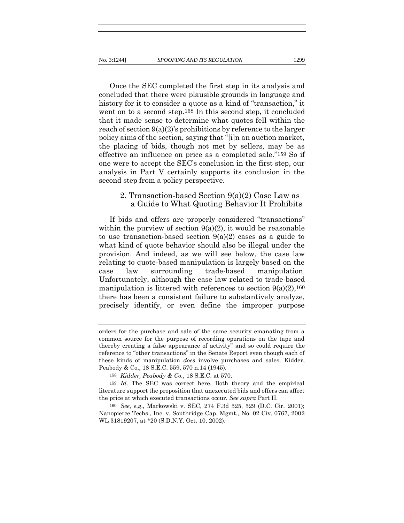Once the SEC completed the first step in its analysis and concluded that there were plausible grounds in language and history for it to consider a quote as a kind of "transaction," it went on to a second step.158 In this second step, it concluded that it made sense to determine what quotes fell within the reach of section  $9(a)(2)$ 's prohibitions by reference to the larger policy aims of the section, saying that "[i]n an auction market, the placing of bids, though not met by sellers, may be as effective an influence on price as a completed sale."159 So if one were to accept the SEC's conclusion in the first step, our analysis in Part V certainly supports its conclusion in the second step from a policy perspective.

# 2. Transaction-based Section 9(a)(2) Case Law as a Guide to What Quoting Behavior It Prohibits

If bids and offers are properly considered "transactions" within the purview of section  $9(a)(2)$ , it would be reasonable to use transaction-based section 9(a)(2) cases as a guide to what kind of quote behavior should also be illegal under the provision. And indeed, as we will see below, the case law relating to quote-based manipulation is largely based on the case law surrounding trade-based manipulation. Unfortunately, although the case law related to trade-based manipulation is littered with references to section  $9(a)(2)$ , 160 there has been a consistent failure to substantively analyze, precisely identify, or even define the improper purpose

orders for the purchase and sale of the same security emanating from a common source for the purpose of recording operations on the tape and thereby creating a false appearance of activity" and so could require the reference to "other transactions" in the Senate Report even though each of these kinds of manipulation *does* involve purchases and sales. Kidder, Peabody & Co., 18 S.E.C. 559, 570 n.14 (1945).

<sup>158</sup> *Kidder, Peabody & Co.*, 18 S.E.C. at 570.

<sup>159</sup> *Id.* The SEC was correct here. Both theory and the empirical literature support the proposition that unexecuted bids and offers can affect the price at which executed transactions occur. *See supra* Part II*.*

<sup>160</sup> *See, e.g*., Markowski v. SEC, 274 F.3d 525, 529 (D.C. Cir. 2001); Nanopierce Techs., Inc. v. Southridge Cap. Mgmt., No. 02 Civ. 0767, 2002 WL 31819207, at \*20 (S.D.N.Y. Oct. 10, 2002).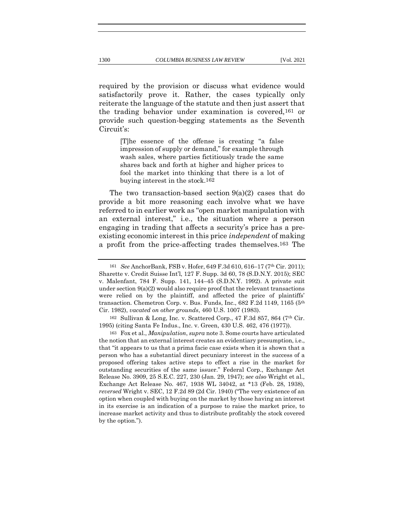required by the provision or discuss what evidence would satisfactorily prove it. Rather, the cases typically only reiterate the language of the statute and then just assert that the trading behavior under examination is covered,161 or provide such question-begging statements as the Seventh Circuit's:

> [T]he essence of the offense is creating "a false impression of supply or demand," for example through wash sales, where parties fictitiously trade the same shares back and forth at higher and higher prices to fool the market into thinking that there is a lot of buying interest in the stock.162

The two transaction-based section  $9(a)(2)$  cases that do provide a bit more reasoning each involve what we have referred to in earlier work as "open market manipulation with an external interest," i.e., the situation where a person engaging in trading that affects a security's price has a preexisting economic interest in this price *independent* of making a profit from the price-affecting trades themselves.163 The

<sup>161</sup> *See* AnchorBank, FSB v. Hofer, 649 F.3d 610, 616–17 (7th Cir. 2011); Sharette v. Credit Suisse Int'l, 127 F. Supp. 3d 60, 78 (S.D.N.Y. 2015); SEC v. Malenfant, 784 F. Supp. 141, 144–45 (S.D.N.Y. 1992). A private suit under section  $9(a)(2)$  would also require proof that the relevant transactions were relied on by the plaintiff, and affected the price of plaintiffs' transaction. Chemetron Corp. v. Bus. Funds, Inc.,  $682$  F.2d 1149, 1165 ( $5<sup>th</sup>$ Cir. 1982), *vacated on other grounds*, 460 U.S. 1007 (1983).

<sup>162</sup> Sullivan & Long, Inc. v. Scattered Corp., 47 F.3d 857, 864 (7th Cir. 1995) (citing Santa Fe Indus., Inc. v. Green, 430 U.S. 462, 476 (1977)).

<sup>163</sup> Fox et al., *Manipulation*, *supra* note 3. Some courts have articulated the notion that an external interest creates an evidentiary presumption, i.e., that "it appears to us that a prima facie case exists when it is shown that a person who has a substantial direct pecuniary interest in the success of a proposed offering takes active steps to effect a rise in the market for outstanding securities of the same issuer." Federal Corp., Exchange Act Release No. 3909, 25 S.E.C. 227, 230 (Jan. 29, 1947); *see also* Wright et al., Exchange Act Release No. 467, 1938 WL 34042, at \*13 (Feb. 28, 1938), *reversed* Wright v. SEC, 12 F.2d 89 (2d Cir. 1940) ("The very existence of an option when coupled with buying on the market by those having an interest in its exercise is an indication of a purpose to raise the market price, to increase market activity and thus to distribute profitably the stock covered by the option.").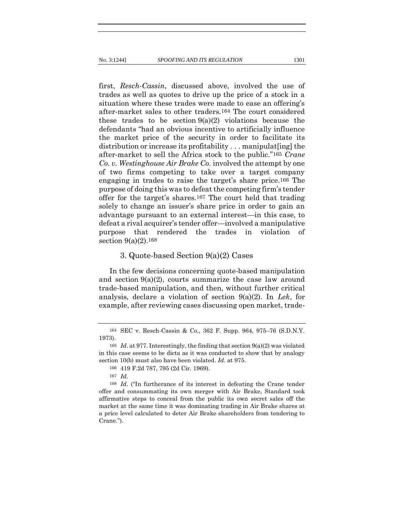first, *Resch-Cassin*, discussed above, involved the use of trades as well as quotes to drive up the price of a stock in a situation where these trades were made to ease an offering's after-market sales to other traders.164 The court considered these trades to be section  $9(a)(2)$  violations because the defendants "had an obvious incentive to artificially influence the market price of the security in order to facilitate its distribution or increase its profitability . . . manipulat[ing] the after-market to sell the Africa stock to the public."165 *Crane Co. v. Westinghouse Air Brake Co.* involved the attempt by one of two firms competing to take over a target company engaging in trades to raise the target's share price.166 The purpose of doing this was to defeat the competing firm's tender offer for the target's shares.167 The court held that trading solely to change an issuer's share price in order to gain an advantage pursuant to an external interest—in this case, to defeat a rival acquirer's tender offer—involved a manipulative purpose that rendered the trades in violation of section 9(a)(2).168

#### 3. Quote-based Section 9(a)(2) Cases

In the few decisions concerning quote-based manipulation and section  $9(a)(2)$ , courts summarize the case law around trade-based manipulation, and then, without further critical analysis, declare a violation of section 9(a)(2). In *Lek*, for example, after reviewing cases discussing open market, trade-

<sup>164</sup> SEC v. Resch-Cassin & Co., 362 F. Supp. 964, 975–76 (S.D.N.Y. 1973).

<sup>165</sup> *Id*. at 977. Interestingly, the finding that section 9(a)(2) was violated in this case seems to be dicta as it was conducted to show that by analogy section 10(b) must also have been violated. *Id.* at 975.

<sup>166</sup> 419 F.2d 787, 795 (2d Cir. 1969).

<sup>167</sup> *Id.*

<sup>168</sup> *Id*. ("In furtherance of its interest in defeating the Crane tender offer and consummating its own merger with Air Brake, Standard took affirmative steps to conceal from the public its own secret sales off the market at the same time it was dominating trading in Air Brake shares at a price level calculated to deter Air Brake shareholders from tendering to Crane.").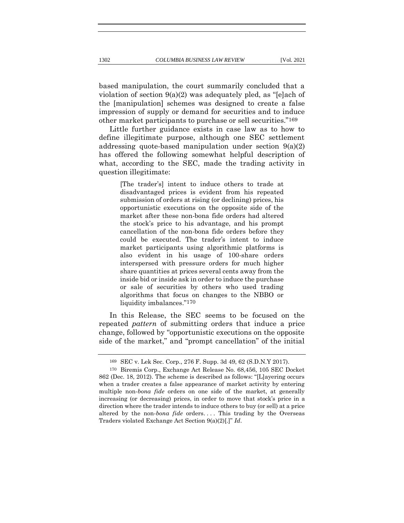based manipulation, the court summarily concluded that a violation of section 9(a)(2) was adequately pled, as "[e]ach of the [manipulation] schemes was designed to create a false impression of supply or demand for securities and to induce other market participants to purchase or sell securities."169

Little further guidance exists in case law as to how to define illegitimate purpose, although one SEC settlement addressing quote-based manipulation under section 9(a)(2) has offered the following somewhat helpful description of what, according to the SEC, made the trading activity in question illegitimate:

> [The trader's] intent to induce others to trade at disadvantaged prices is evident from his repeated submission of orders at rising (or declining) prices, his opportunistic executions on the opposite side of the market after these non-bona fide orders had altered the stock's price to his advantage, and his prompt cancellation of the non-bona fide orders before they could be executed. The trader's intent to induce market participants using algorithmic platforms is also evident in his usage of 100-share orders interspersed with pressure orders for much higher share quantities at prices several cents away from the inside bid or inside ask in order to induce the purchase or sale of securities by others who used trading algorithms that focus on changes to the NBBO or liquidity imbalances."170

In this Release, the SEC seems to be focused on the repeated *pattern* of submitting orders that induce a price change, followed by "opportunistic executions on the opposite side of the market," and "prompt cancellation" of the initial

<sup>169</sup> SEC v. Lek Sec. Corp., 276 F. Supp. 3d 49, 62 (S.D.N.Y 2017).

<sup>170</sup> Biremis Corp., Exchange Act Release No. 68,456, 105 SEC Docket 862 (Dec. 18, 2012). The scheme is described as follows: "[L]ayering occurs when a trader creates a false appearance of market activity by entering multiple non-*bona fide* orders on one side of the market, at generally increasing (or decreasing) prices, in order to move that stock's price in a direction where the trader intends to induce others to buy (or sell) at a price altered by the non-*bona fide* orders.... This trading by the Overseas Traders violated Exchange Act Section 9(a)(2)[.]" *Id*.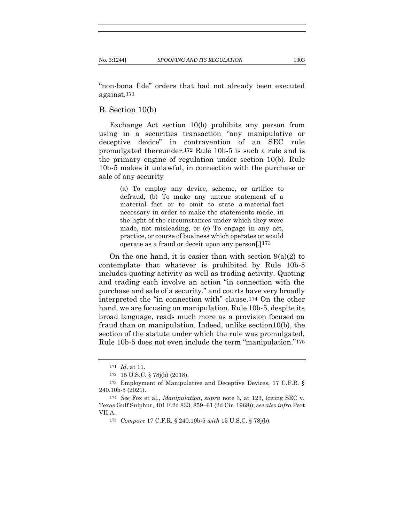"non-bona fide" orders that had not already been executed against.171

#### B. Section 10(b)

Exchange Act section 10(b) prohibits any person from using in a securities transaction "any manipulative or deceptive device" in contravention of an SEC rule promulgated thereunder.172 Rule 10b-5 is such a rule and is the primary engine of regulation under section 10(b). Rule 10b-5 makes it unlawful, in connection with the purchase or sale of any security

> (a) To employ any device, scheme, or artifice to defraud, (b) To make any untrue statement of a material fact or to omit to state a material fact necessary in order to make the statements made, in the light of the circumstances under which they were made, not misleading, or (c) To engage in any act, practice, or course of business which operates or would operate as a fraud or deceit upon any person[.]173

On the one hand, it is easier than with section  $9(a)(2)$  to contemplate that whatever is prohibited by Rule 10b-5 includes quoting activity as well as trading activity. Quoting and trading each involve an action "in connection with the purchase and sale of a security," and courts have very broadly interpreted the "in connection with" clause.174 On the other hand, we are focusing on manipulation. Rule 10b-5, despite its broad language, reads much more as a provision focused on fraud than on manipulation. Indeed, unlike section10(b), the section of the statute under which the rule was promulgated, Rule 10b-5 does not even include the term "manipulation."175

<sup>171</sup> *Id*. at 11.

<sup>172</sup> 15 U.S.C. § 78j(b) (2018).

<sup>173</sup> Employment of Manipulative and Deceptive Devices, 17 C.F.R. § 240.10b-5 (2021).

<sup>174</sup> *See* Fox et al., *Manipulation*, *supra* note 3, at 123, (citing SEC v. Texas Gulf Sulphur, 401 F.2d 833, 859–61 (2d Cir. 1968)); *see also infra* Part VII.A.

<sup>175</sup> *Compare* 17 C.F.R. § 240.10b-5 *with* 15 U.S.C. § 78j(b).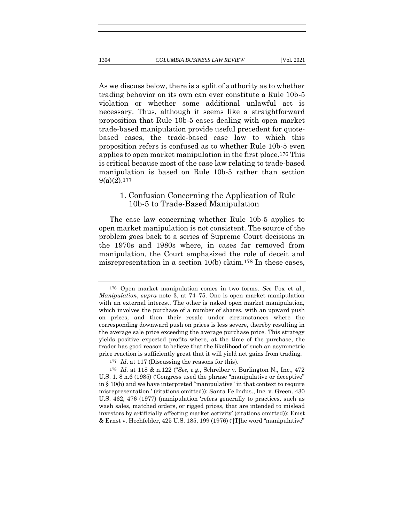As we discuss below, there is a split of authority as to whether trading behavior on its own can ever constitute a Rule 10b-5 violation or whether some additional unlawful act is necessary. Thus, although it seems like a straightforward proposition that Rule 10b-5 cases dealing with open market

trade-based manipulation provide useful precedent for quotebased cases, the trade-based case law to which this proposition refers is confused as to whether Rule 10b-5 even applies to open market manipulation in the first place.176 This is critical because most of the case law relating to trade-based manipulation is based on Rule 10b-5 rather than section  $9(a)(2)$ .177

# 1. Confusion Concerning the Application of Rule 10b-5 to Trade-Based Manipulation

The case law concerning whether Rule 10b-5 applies to open market manipulation is not consistent. The source of the problem goes back to a series of Supreme Court decisions in the 1970s and 1980s where, in cases far removed from manipulation, the Court emphasized the role of deceit and misrepresentation in a section 10(b) claim.178 In these cases,

<sup>176</sup> Open market manipulation comes in two forms. *See* Fox et al., *Manipulation*, *supra* note 3, at 74–75. One is open market manipulation with an external interest. The other is naked open market manipulation, which involves the purchase of a number of shares, with an upward push on prices, and then their resale under circumstances where the corresponding downward push on prices is less severe, thereby resulting in the average sale price exceeding the average purchase price. This strategy yields positive expected profits where, at the time of the purchase, the trader has good reason to believe that the likelihood of such an asymmetric price reaction is sufficiently great that it will yield net gains from trading.

<sup>177</sup> *Id*. at 117 (Discussing the reasons for this).

<sup>178</sup> *Id.* at 118 & n.122 ("*See, e.g.*, Schreiber v. Burlington N., Inc., 472 U.S. 1. 8 n.6 (1985) ('Congress used the phrase "manipulative or deceptive" in § 10(b) and we have interpreted "manipulative" in that context to require misrepresentation.' (citations omitted)); Santa Fe Indus., Inc. v. Green. 430 U.S. 462, 476 (1977) (manipulation 'refers generally to practices, such as wash sales, matched orders, or rigged prices, that are intended to mislead investors by artificially affecting market activity' (citations omitted)); Emst & Ernst v. Hochfelder, 425 U.S. 185, 199 (1976) ('[T]he word "manipulative"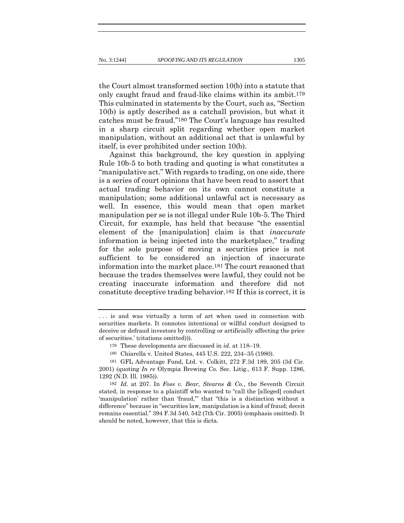the Court almost transformed section 10(b) into a statute that only caught fraud and fraud-like claims within its ambit.179 This culminated in statements by the Court, such as, "Section 10(b) is aptly described as a catchall provision, but what it catches must be fraud."180 The Court's language has resulted in a sharp circuit split regarding whether open market manipulation, without an additional act that is unlawful by itself, is ever prohibited under section 10(b).

Against this background, the key question in applying Rule 10b-5 to both trading and quoting is what constitutes a "manipulative act." With regards to trading, on one side, there is a series of court opinions that have been read to assert that actual trading behavior on its own cannot constitute a manipulation; some additional unlawful act is necessary as well. In essence, this would mean that open market manipulation per se is not illegal under Rule 10b-5. The Third Circuit, for example, has held that because "the essential element of the [manipulation] claim is that *inaccurate* information is being injected into the marketplace," trading for the sole purpose of moving a securities price is not sufficient to be considered an injection of inaccurate information into the market place.181 The court reasoned that because the trades themselves were lawful, they could not be creating inaccurate information and therefore did not constitute deceptive trading behavior.182 If this is correct, it is

<sup>.</sup> . . is and was virtually a term of art when used in connection with securities markets. It connotes intentional or willful conduct designed to deceive or defraud investors by controlling or artificially affecting the price of securities.' (citations omitted))).

<sup>179</sup> These developments are discussed in *id*. at 118–19.

<sup>180</sup> Chiarella v. United States, 445 U.S. 222, 234–35 (1980).

<sup>181</sup> GFL Advantage Fund, Ltd. v. Colkitt, 272 F.3d 189, 205 (3d Cir. 2001) (quoting *In re* Olympia Brewing Co. Sec. Litig., 613 F. Supp. 1286, 1292 (N.D. Ill. 1985)).

<sup>182</sup> *Id*. at 207. In *Foss v. Bear, Stearns & Co.*, the Seventh Circuit stated, in response to a plaintiff who wanted to "call the [alleged] conduct 'manipulation' rather than 'fraud,'" that "this is a distinction without a difference" because in "securities law, manipulation is a kind of fraud; deceit remains essential." 394 F.3d 540, 542 (7th Cir. 2005) (emphasis omitted). It should be noted, however, that this is dicta.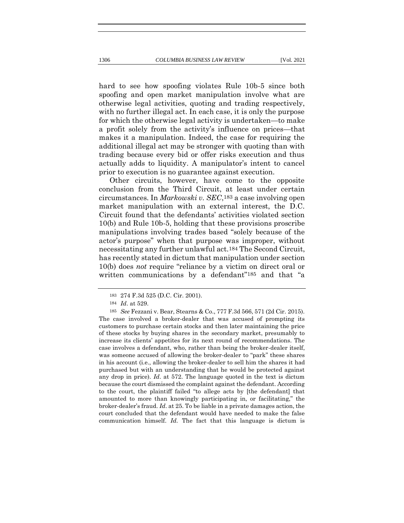hard to see how spoofing violates Rule 10b-5 since both spoofing and open market manipulation involve what are otherwise legal activities, quoting and trading respectively, with no further illegal act. In each case, it is only the purpose

for which the otherwise legal activity is undertaken—to make a profit solely from the activity's influence on prices—that makes it a manipulation. Indeed, the case for requiring the additional illegal act may be stronger with quoting than with trading because every bid or offer risks execution and thus actually adds to liquidity. A manipulator's intent to cancel prior to execution is no guarantee against execution.

Other circuits, however, have come to the opposite conclusion from the Third Circuit, at least under certain circumstances. In *Markowski v. SEC*,183 a case involving open market manipulation with an external interest, the D.C. Circuit found that the defendants' activities violated section 10(b) and Rule 10b-5, holding that these provisions proscribe manipulations involving trades based "solely because of the actor's purpose" when that purpose was improper, without necessitating any further unlawful act.184 The Second Circuit, has recently stated in dictum that manipulation under section 10(b) does *not* require "reliance by a victim on direct oral or written communications by a defendant"<sup>185</sup> and that "a

<sup>183</sup> 274 F.3d 525 (D.C. Cir. 2001).

<sup>184</sup> *Id*. at 529.

<sup>185</sup> *See* Fezzani v. Bear, Stearns & Co., 777 F.3d 566, 571 (2d Cir. 2015). The case involved a broker-dealer that was accused of prompting its customers to purchase certain stocks and then later maintaining the price of these stocks by buying shares in the secondary market, presumably to increase its clients' appetites for its next round of recommendations. The case involves a defendant, who, rather than being the broker-dealer itself, was someone accused of allowing the broker-dealer to "park" these shares in his account (i.e., allowing the broker-dealer to sell him the shares it had purchased but with an understanding that he would be protected against any drop in price). *Id*. at 572. The language quoted in the text is dictum because the court dismissed the complaint against the defendant. According to the court, the plaintiff failed "to allege acts by [the defendant] that amounted to more than knowingly participating in, or facilitating," the broker-dealer's fraud. *Id*. at 25. To be liable in a private damages action, the court concluded that the defendant would have needed to make the false communication himself. *Id.* The fact that this language is dictum is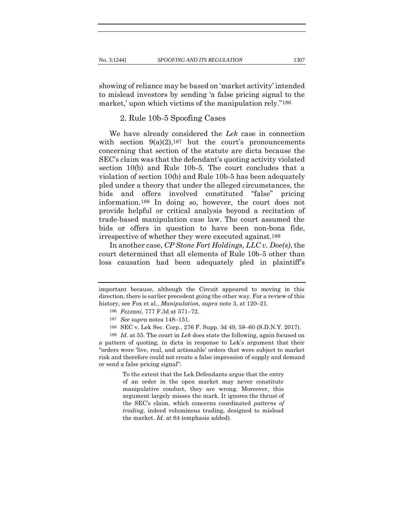showing of reliance may be based on 'market activity' intended to mislead investors by sending 'a false pricing signal to the market,' upon which victims of the manipulation rely."<sup>186</sup>

## 2. Rule 10b-5 Spoofing Cases

We have already considered the *Lek* case in connection with section  $9(a)(2)$ , 187 but the court's pronouncements concerning that section of the statute are dicta because the SEC's claim was that the defendant's quoting activity violated section 10(b) and Rule 10b-5. The court concludes that a violation of section 10(b) and Rule 10b-5 has been adequately pled under a theory that under the alleged circumstances, the bids and offers involved constituted "false" pricing information.188 In doing so, however, the court does not provide helpful or critical analysis beyond a recitation of trade-based manipulation case law. The court assumed the bids or offers in question to have been non-bona fide, irrespective of whether they were executed against.189

In another case, *CP Stone Fort Holdings, LLC v. Doe(s)*, the court determined that all elements of Rule 10b-5 other than loss causation had been adequately pled in plaintiff's

To the extent that the Lek Defendants argue that the entry of an order in the open market may never constitute manipulative conduct, they are wrong. Moreover, this argument largely misses the mark. It ignores the thrust of the SEC's claim, which concerns coordinated *patterns of trading*, indeed voluminous trading, designed to mislead the market. *Id*. at 64 (emphasis added).

important because, although the Circuit appeared to moving in this direction, there is earlier precedent going the other way. For a review of this history, see Fox et al., *Manipulation*, *supra* note 3, at 120–21.

<sup>186</sup> *Fezzani*, 777 F.3d at 571–72.

<sup>187</sup> *See supra* notes 148–151.

<sup>188</sup> SEC v. Lek Sec. Corp., 276 F. Supp. 3d 49, 58–60 (S.D.N.Y. 2017).

<sup>189</sup> *Id*. at 55. The court in *Lek* does state the following, again focused on a pattern of quoting, in dicta in response to Lek's argument that their "orders were 'live, real, and actionable' orders that were subject to market risk and therefore could not create a false impression of supply and demand or send a false pricing signal":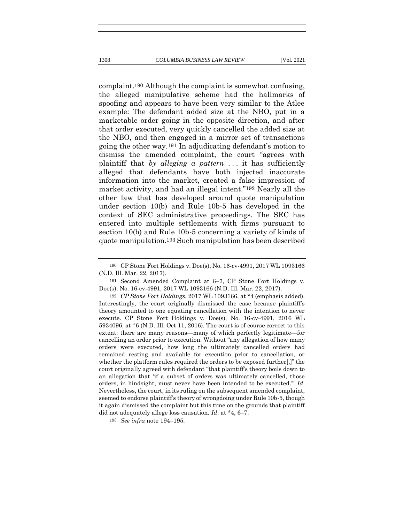complaint.190 Although the complaint is somewhat confusing, the alleged manipulative scheme had the hallmarks of spoofing and appears to have been very similar to the Atlee example: The defendant added size at the NBO, put in a marketable order going in the opposite direction, and after that order executed, very quickly cancelled the added size at the NBO, and then engaged in a mirror set of transactions going the other way.191 In adjudicating defendant's motion to dismiss the amended complaint, the court "agrees with plaintiff that *by alleging a pattern* . . . it has sufficiently alleged that defendants have both injected inaccurate information into the market, created a false impression of market activity, and had an illegal intent."192 Nearly all the other law that has developed around quote manipulation under section 10(b) and Rule 10b-5 has developed in the context of SEC administrative proceedings. The SEC has entered into multiple settlements with firms pursuant to section 10(b) and Rule 10b-5 concerning a variety of kinds of quote manipulation.193 Such manipulation has been described

<sup>190</sup> CP Stone Fort Holdings v. Doe(s), No. 16-cv-4991, 2017 WL 1093166 (N.D. Ill. Mar. 22, 2017).

<sup>191</sup> Second Amended Complaint at 6–7, CP Stone Fort Holdings v. Doe(s), No. 16-cv-4991, 2017 WL 1093166 (N.D. Ill. Mar. 22, 2017).

<sup>192</sup> *CP Stone Fort Holdings*, 2017 WL 1093166, at \*4 (emphasis added). Interestingly, the court originally dismissed the case because plaintiff's theory amounted to one equating cancellation with the intention to never execute. CP Stone Fort Holdings v. Doe(s), No. 16-cv-4991, 2016 WL 5934096, at \*6 (N.D. Ill. Oct 11, 2016). The court is of course correct to this extent: there are many reasons—many of which perfectly legitimate—for cancelling an order prior to execution. Without "any allegation of how many orders were executed, how long the ultimately cancelled orders had remained resting and available for execution prior to cancellation, or whether the platform rules required the orders to be exposed further[,]" the court originally agreed with defendant "that plaintiff's theory boils down to an allegation that 'if a subset of orders was ultimately cancelled, those orders, in hindsight, must never have been intended to be executed.'" *Id*. Nevertheless, the court, in its ruling on the subsequent amended complaint, seemed to endorse plaintiff's theory of wrongdoing under Rule 10b-5, though it again dismissed the complaint but this time on the grounds that plaintiff did not adequately allege loss causation*. Id*. at \*4, 6–7.

<sup>193</sup> *See infra* note 194–195.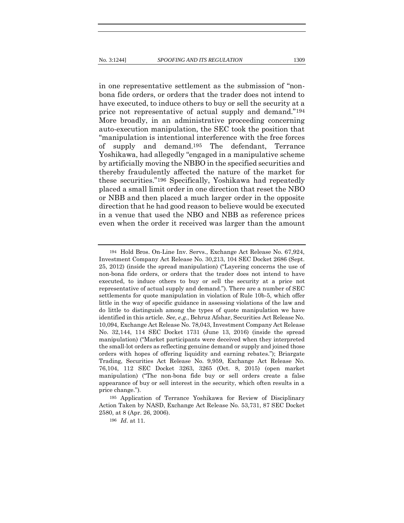in one representative settlement as the submission of "nonbona fide orders, or orders that the trader does not intend to have executed, to induce others to buy or sell the security at a price not representative of actual supply and demand."194 More broadly, in an administrative proceeding concerning auto-execution manipulation, the SEC took the position that "manipulation is intentional interference with the free forces of supply and demand.195 The defendant, Terrance Yoshikawa, had allegedly "engaged in a manipulative scheme by artificially moving the NBBO in the specified securities and thereby fraudulently affected the nature of the market for these securities."196 Specifically, Yoshikawa had repeatedly placed a small limit order in one direction that reset the NBO or NBB and then placed a much larger order in the opposite direction that he had good reason to believe would be executed in a venue that used the NBO and NBB as reference prices even when the order it received was larger than the amount

<sup>194</sup> Hold Bros. On-Line Inv. Servs., Exchange Act Release No. 67,924, Investment Company Act Release No. 30,213, 104 SEC Docket 2686 (Sept. 25, 2012) (inside the spread manipulation) ("Layering concerns the use of non-bona fide orders, or orders that the trader does not intend to have executed, to induce others to buy or sell the security at a price not representative of actual supply and demand."). There are a number of SEC settlements for quote manipulation in violation of Rule 10b-5, which offer little in the way of specific guidance in assessing violations of the law and do little to distinguish among the types of quote manipulation we have identified in this article. *See, e.g.*, Behruz Afshar, Securities Act Release No. 10,094, Exchange Act Release No. 78,043, Investment Company Act Release No. 32,144, 114 SEC Docket 1731 (June 13, 2016) (inside the spread manipulation) ("Market participants were deceived when they interpreted the small-lot orders as reflecting genuine demand or supply and joined those orders with hopes of offering liquidity and earning rebates."); Briargate Trading, Securities Act Release No. 9,959, Exchange Act Release No. 76,104, 112 SEC Docket 3263, 3265 (Oct. 8, 2015) (open market manipulation) ("The non-bona fide buy or sell orders create a false appearance of buy or sell interest in the security, which often results in a price change.").

<sup>195</sup> Application of Terrance Yoshikawa for Review of Disciplinary Action Taken by NASD, Exchange Act Release No. 53,731, 87 SEC Docket 2580, at 8 (Apr. 26, 2006).

<sup>196</sup> *Id*. at 11*.*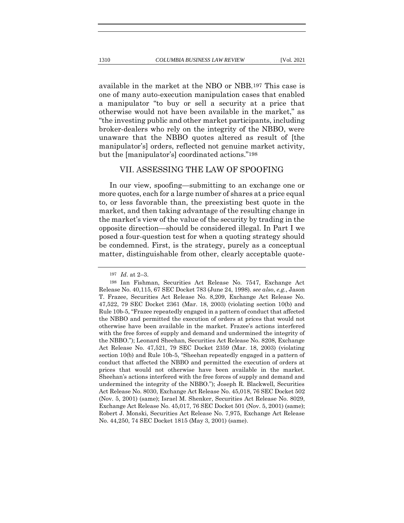available in the market at the NBO or NBB.197 This case is one of many auto-execution manipulation cases that enabled a manipulator "to buy or sell a security at a price that otherwise would not have been available in the market," as "the investing public and other market participants, including broker-dealers who rely on the integrity of the NBBO, were unaware that the NBBO quotes altered as result of [the manipulator's] orders, reflected not genuine market activity, but the [manipulator's] coordinated actions."198

### VII. ASSESSING THE LAW OF SPOOFING

In our view, spoofing—submitting to an exchange one or more quotes, each for a large number of shares at a price equal to, or less favorable than, the preexisting best quote in the market, and then taking advantage of the resulting change in the market's view of the value of the security by trading in the opposite direction—should be considered illegal. In Part I we posed a four-question test for when a quoting strategy should be condemned. First, is the strategy, purely as a conceptual matter, distinguishable from other, clearly acceptable quote-

<sup>197</sup> *Id*. at 2–3.

<sup>198</sup> Ian Fishman, Securities Act Release No. 7547, Exchange Act Release No. 40,115, 67 SEC Docket 783 (June 24, 1998). *see also*, *e.g.*, Jason T. Frazee, Securities Act Release No. 8,209, Exchange Act Release No. 47,522, 79 SEC Docket 2361 (Mar. 18, 2003) (violating section 10(b) and Rule 10b-5, "Frazee repeatedly engaged in a pattern of conduct that affected the NBBO and permitted the execution of orders at prices that would not otherwise have been available in the market. Frazee's actions interfered with the free forces of supply and demand and undermined the integrity of the NBBO."); Leonard Sheehan, Securities Act Release No. 8208, Exchange Act Release No. 47,521, 79 SEC Docket 2359 (Mar. 18, 2003) (violating section 10(b) and Rule 10b-5, "Sheehan repeatedly engaged in a pattern of conduct that affected the NBBO and permitted the execution of orders at prices that would not otherwise have been available in the market. Sheehan's actions interfered with the free forces of supply and demand and undermined the integrity of the NBBO."); Joseph R. Blackwell, Securities Act Release No. 8030, Exchange Act Release No. 45,018, 76 SEC Docket 502 (Nov. 5, 2001) (same); Israel M. Shenker, Securities Act Release No. 8029, Exchange Act Release No. 45,017, 76 SEC Docket 501 (Nov. 5, 2001) (same); Robert J. Monski, Securities Act Release No. 7,975, Exchange Act Release No. 44,250, 74 SEC Docket 1815 (May 3, 2001) (same).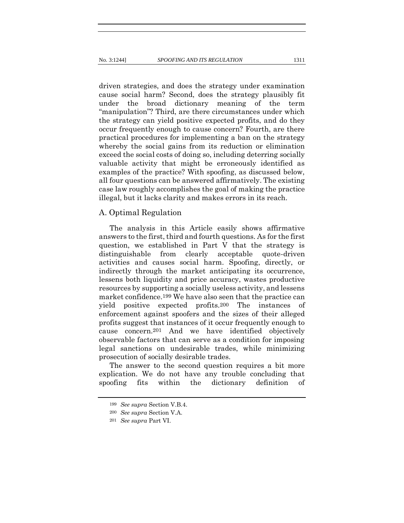driven strategies, and does the strategy under examination cause social harm? Second, does the strategy plausibly fit under the broad dictionary meaning of the term "manipulation"? Third, are there circumstances under which the strategy can yield positive expected profits, and do they occur frequently enough to cause concern? Fourth, are there practical procedures for implementing a ban on the strategy whereby the social gains from its reduction or elimination exceed the social costs of doing so, including deterring socially valuable activity that might be erroneously identified as examples of the practice? With spoofing, as discussed below, all four questions can be answered affirmatively. The existing case law roughly accomplishes the goal of making the practice illegal, but it lacks clarity and makes errors in its reach.

#### A. Optimal Regulation

The analysis in this Article easily shows affirmative answers to the first, third and fourth questions. As for the first question, we established in Part V that the strategy is distinguishable from clearly acceptable quote-driven activities and causes social harm. Spoofing, directly, or indirectly through the market anticipating its occurrence, lessens both liquidity and price accuracy, wastes productive resources by supporting a socially useless activity, and lessens market confidence.199 We have also seen that the practice can yield positive expected profits.200 The instances of enforcement against spoofers and the sizes of their alleged profits suggest that instances of it occur frequently enough to cause concern.201 And we have identified objectively observable factors that can serve as a condition for imposing legal sanctions on undesirable trades, while minimizing prosecution of socially desirable trades.

The answer to the second question requires a bit more explication. We do not have any trouble concluding that spoofing fits within the dictionary definition of

<sup>199</sup> *See supra* Section V.B.4.

<sup>200</sup> *See supra* Section V.A.

<sup>201</sup> *See supra* Part VI.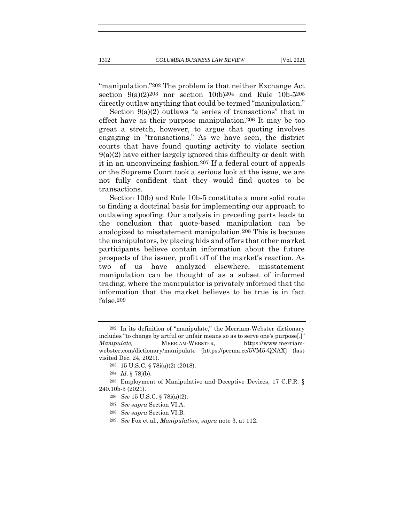"manipulation."202 The problem is that neither Exchange Act section  $9(a)(2)^{203}$  nor section  $10(b)^{204}$  and Rule  $10b-5^{205}$ directly outlaw anything that could be termed "manipulation."

Section 9(a)(2) outlaws "a series of transactions" that in effect have as their purpose manipulation.206 It may be too great a stretch, however, to argue that quoting involves engaging in "transactions." As we have seen, the district courts that have found quoting activity to violate section 9(a)(2) have either largely ignored this difficulty or dealt with it in an unconvincing fashion.207 If a federal court of appeals or the Supreme Court took a serious look at the issue, we are not fully confident that they would find quotes to be transactions.

Section 10(b) and Rule 10b-5 constitute a more solid route to finding a doctrinal basis for implementing our approach to outlawing spoofing. Our analysis in preceding parts leads to the conclusion that quote-based manipulation can be analogized to misstatement manipulation.208 This is because the manipulators, by placing bids and offers that other market participants believe contain information about the future prospects of the issuer, profit off of the market's reaction. As two of us have analyzed elsewhere, misstatement manipulation can be thought of as a subset of informed trading, where the manipulator is privately informed that the information that the market believes to be true is in fact false.209

<sup>202</sup> In its definition of "manipulate," the Merriam-Webster dictionary includes "to change by artful or unfair means so as to serve one's purpose[.]" *Manipulate,* MERRIAM-WEBSTER, https://www.merriamwebster.com/dictionary/manipulate [https://perma.cc/5VM5-QNAX] (last visited Dec. 24, 2021).

<sup>203</sup> 15 U.S.C. § 78i(a)(2) (2018).

<sup>204</sup> *Id.* § 78j(b).

<sup>205</sup> Employment of Manipulative and Deceptive Devices, 17 C.F.R. § 240.10b-5 (2021).

<sup>206</sup> *See* 15 U.S.C. § 78i(a)(2).

<sup>207</sup> *See supra* Section VI.A.

<sup>208</sup> *See supra* Section VI.B.

<sup>209</sup> *See* Fox et al., *Manipulation*, *supra* note 3, at 112.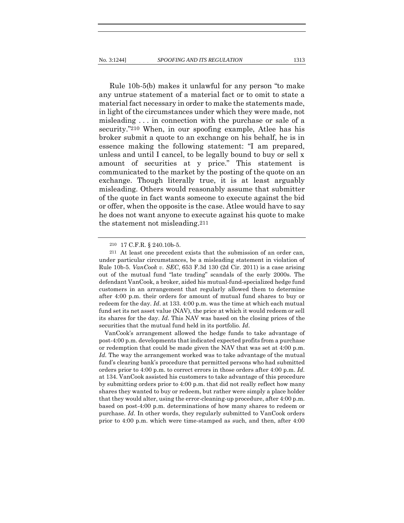Rule 10b-5(b) makes it unlawful for any person "to make any untrue statement of a material fact or to omit to state a material fact necessary in order to make the statements made, in light of the circumstances under which they were made, not misleading . . . in connection with the purchase or sale of a security."210 When, in our spoofing example, Atlee has his broker submit a quote to an exchange on his behalf, he is in essence making the following statement: "I am prepared, unless and until I cancel, to be legally bound to buy or sell x amount of securities at y price." This statement is communicated to the market by the posting of the quote on an exchange. Though literally true, it is at least arguably misleading. Others would reasonably assume that submitter of the quote in fact wants someone to execute against the bid or offer, when the opposite is the case. Atlee would have to say he does not want anyone to execute against his quote to make

the statement not misleading.211

VanCook's arrangement allowed the hedge funds to take advantage of post-4:00 p.m. developments that indicated expected profits from a purchase or redemption that could be made given the NAV that was set at 4:00 p.m. Id. The way the arrangement worked was to take advantage of the mutual fund's clearing bank's procedure that permitted persons who had submitted orders prior to 4:00 p.m. to correct errors in those orders after 4:00 p.m. *Id.* at 134. VanCook assisted his customers to take advantage of this procedure by submitting orders prior to 4:00 p.m. that did not really reflect how many shares they wanted to buy or redeem, but rather were simply a place holder that they would alter, using the error-cleaning-up procedure, after 4:00 p.m. based on post-4:00 p.m. determinations of how many shares to redeem or purchase. *Id*. In other words, they regularly submitted to VanCook orders prior to 4:00 p.m. which were time-stamped as such, and then, after 4:00

<sup>210</sup> 17 C.F.R. § 240.10b-5.

<sup>211</sup> At least one precedent exists that the submission of an order can, under particular circumstances, be a misleading statement in violation of Rule 10b-5. *VanCook v. SEC*, 653 F.3d 130 (2d Cir. 2011) is a case arising out of the mutual fund "late trading" scandals of the early 2000s. The defendant VanCook, a broker, aided his mutual-fund-specialized hedge fund customers in an arrangement that regularly allowed them to determine after 4:00 p.m. their orders for amount of mutual fund shares to buy or redeem for the day. *Id*. at 133. 4:00 p.m. was the time at which each mutual fund set its net asset value (NAV), the price at which it would redeem or sell its shares for the day. *Id*. This NAV was based on the closing prices of the securities that the mutual fund held in its portfolio. *Id*.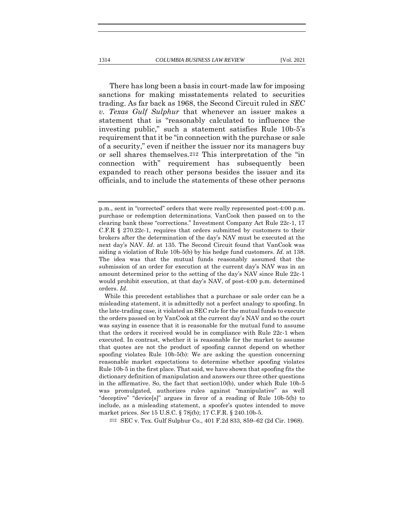There has long been a basis in court-made law for imposing sanctions for making misstatements related to securities trading. As far back as 1968, the Second Circuit ruled in *SEC v. Texas Gulf Sulphur* that whenever an issuer makes a statement that is "reasonably calculated to influence the investing public," such a statement satisfies Rule 10b-5's requirement that it be "in connection with the purchase or sale of a security," even if neither the issuer nor its managers buy or sell shares themselves.212 This interpretation of the "in connection with" requirement has subsequently been expanded to reach other persons besides the issuer and its officials, and to include the statements of these other persons

212 SEC v. Tex. Gulf Sulphur Co., 401 F.2d 833, 859–62 (2d Cir. 1968).

p.m., sent in "corrected" orders that were really represented post-4:00 p.m. purchase or redemption determinations. VanCook then passed on to the clearing bank these "corrections." Investment Company Act Rule 22c-1, 17 C.F.R § 270.22c-1, requires that orders submitted by customers to their brokers after the determination of the day's NAV must be executed at the next day's NAV. *Id*. at 135. The Second Circuit found that VanCook was aiding a violation of Rule 10b-5(b) by his hedge fund customers. *Id*. at 138. The idea was that the mutual funds reasonably assumed that the submission of an order for execution at the current day's NAV was in an amount determined prior to the setting of the day's NAV since Rule 22c-1 would prohibit execution, at that day's NAV, of post-4:00 p.m. determined orders. *Id*.

While this precedent establishes that a purchase or sale order can be a misleading statement, it is admittedly not a perfect analogy to spoofing. In the late-trading case, it violated an SEC rule for the mutual funds to execute the orders passed on by VanCook at the current day's NAV and so the court was saying in essence that it is reasonable for the mutual fund to assume that the orders it received would be in compliance with Rule 22c-1 when executed. In contrast, whether it is reasonable for the market to assume that quotes are not the product of spoofing cannot depend on whether spoofing violates Rule 10b-5(b): We are asking the question concerning reasonable market expectations to determine whether spoofing violates Rule 10b-5 in the first place. That said, we have shown that spoofing fits the dictionary definition of manipulation and answers our three other questions in the affirmative. So, the fact that section10(b), under which Rule 10b-5 was promulgated, authorizes rules against "manipulative" as well "deceptive" "device[s]" argues in favor of a reading of Rule 10b-5(b) to include, as a misleading statement, a spoofer's quotes intended to move market prices. *See* 15 U.S.C. § 78j(b); 17 C.F.R. § 240.10b-5.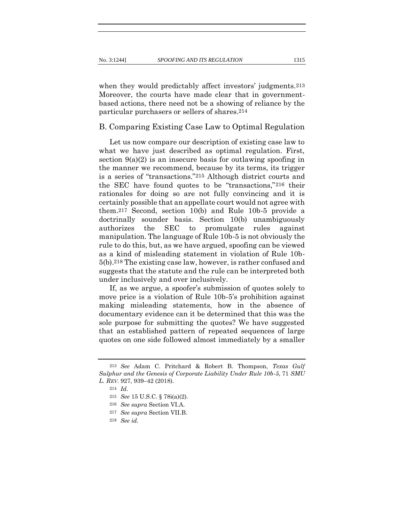when they would predictably affect investors' judgments.<sup>213</sup> Moreover, the courts have made clear that in governmentbased actions, there need not be a showing of reliance by the particular purchasers or sellers of shares.214

## B. Comparing Existing Case Law to Optimal Regulation

Let us now compare our description of existing case law to what we have just described as optimal regulation. First, section  $9(a)(2)$  is an insecure basis for outlawing spoofing in the manner we recommend, because by its terms, its trigger is a series of "transactions."215 Although district courts and the SEC have found quotes to be "transactions,"216 their rationales for doing so are not fully convincing and it is certainly possible that an appellate court would not agree with them.217 Second, section 10(b) and Rule 10b-5 provide a doctrinally sounder basis. Section 10(b) unambiguously authorizes the SEC to promulgate rules against manipulation. The language of Rule 10b-5 is not obviously the rule to do this, but, as we have argued, spoofing can be viewed as a kind of misleading statement in violation of Rule 10b-5(b).218 The existing case law, however, is rather confused and suggests that the statute and the rule can be interpreted both under inclusively and over inclusively.

If, as we argue, a spoofer's submission of quotes solely to move price is a violation of Rule 10b-5's prohibition against making misleading statements, how in the absence of documentary evidence can it be determined that this was the sole purpose for submitting the quotes? We have suggested that an established pattern of repeated sequences of large quotes on one side followed almost immediately by a smaller

<sup>213</sup> *See* Adam C. Pritchard & Robert B. Thompson, *Texas Gulf Sulphur and the Genesis of Corporate Liability Under Rule 10b-5*, 71 *SMU L. REV*. 927, 939–42 (2018).

<sup>214</sup> *Id.*

<sup>215</sup> *See* 15 U.S.C. § 78i(a)(2).

<sup>216</sup> *See supra* Section VI.A.

<sup>217</sup> *See supra* Section VII.B.

<sup>218</sup> *See id.*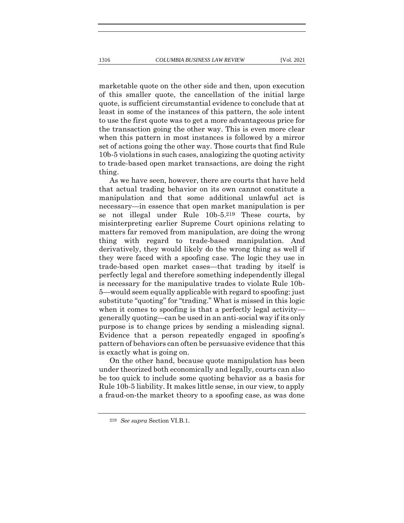marketable quote on the other side and then, upon execution of this smaller quote, the cancellation of the initial large quote, is sufficient circumstantial evidence to conclude that at least in some of the instances of this pattern, the sole intent to use the first quote was to get a more advantageous price for the transaction going the other way. This is even more clear

when this pattern in most instances is followed by a mirror set of actions going the other way. Those courts that find Rule 10b-5 violations in such cases, analogizing the quoting activity to trade-based open market transactions, are doing the right thing.

As we have seen, however, there are courts that have held that actual trading behavior on its own cannot constitute a manipulation and that some additional unlawful act is necessary—in essence that open market manipulation is per se not illegal under Rule 10b-5.219 These courts, by misinterpreting earlier Supreme Court opinions relating to matters far removed from manipulation, are doing the wrong thing with regard to trade-based manipulation. And derivatively, they would likely do the wrong thing as well if they were faced with a spoofing case. The logic they use in trade-based open market cases—that trading by itself is perfectly legal and therefore something independently illegal is necessary for the manipulative trades to violate Rule 10b-5—would seem equally applicable with regard to spoofing: just substitute "quoting" for "trading." What is missed in this logic when it comes to spoofing is that a perfectly legal activity generally quoting—can be used in an anti-social way if its only purpose is to change prices by sending a misleading signal. Evidence that a person repeatedly engaged in spoofing's pattern of behaviors can often be persuasive evidence that this is exactly what is going on.

On the other hand, because quote manipulation has been under theorized both economically and legally, courts can also be too quick to include some quoting behavior as a basis for Rule 10b-5 liability. It makes little sense, in our view, to apply a fraud-on-the market theory to a spoofing case, as was done

<sup>219</sup> *See supra* Section VI.B.1.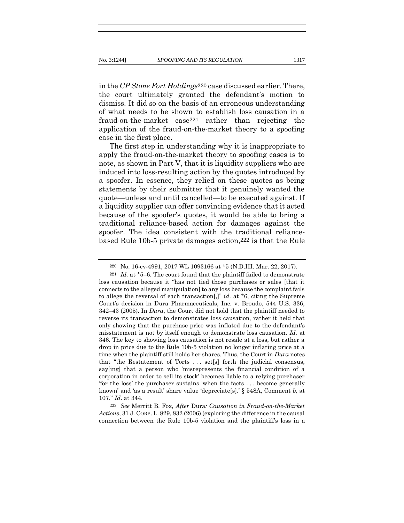in the *CP Stone Fort Holdings*220 case discussed earlier. There, the court ultimately granted the defendant's motion to dismiss. It did so on the basis of an erroneous understanding of what needs to be shown to establish loss causation in a fraud-on-the-market case221 rather than rejecting the application of the fraud-on-the-market theory to a spoofing case in the first place.

The first step in understanding why it is inappropriate to apply the fraud-on-the-market theory to spoofing cases is to note, as shown in Part V, that it is liquidity suppliers who are induced into loss-resulting action by the quotes introduced by a spoofer. In essence, they relied on these quotes as being statements by their submitter that it genuinely wanted the quote—unless and until cancelled—to be executed against. If a liquidity supplier can offer convincing evidence that it acted because of the spoofer's quotes, it would be able to bring a traditional reliance-based action for damages against the spoofer. The idea consistent with the traditional reliancebased Rule 10b-5 private damages action,222 is that the Rule

222 *See* Merritt B. Fox, *After* Dura*: Causation in Fraud-on-the-Market Actions*, 31 J. CORP. L. 829, 832 (2006) (exploring the difference in the causal connection between the Rule 10b-5 violation and the plaintiff's loss in a

<sup>220</sup> No. 16-cv-4991, 2017 WL 1093166 at \*5 (N.D.III. Mar. 22, 2017).

<sup>221</sup> *Id.* at \*5–6. The court found that the plaintiff failed to demonstrate loss causation because it "has not tied those purchases or sales [that it connects to the alleged manipulation] to any loss because the complaint fails to allege the reversal of each transaction[,]" *id*. at \*6, citing the Supreme Court's decision in Dura Pharmaceuticals, Inc. v. Broudo, 544 U.S. 336, 342–43 (2005). In *Dura*, the Court did not hold that the plaintiff needed to reverse its transaction to demonstrates loss causation, rather it held that only showing that the purchase price was inflated due to the defendant's misstatement is not by itself enough to demonstrate loss causation. *Id.* at 346. The key to showing loss causation is not resale at a loss, but rather a drop in price due to the Rule 10b-5 violation no longer inflating price at a time when the plaintiff still holds her shares. Thus, the Court in *Dura* notes that "the Restatement of Torts . . . set[s] forth the judicial consensus, say[ing] that a person who 'misrepresents the financial condition of a corporation in order to sell its stock' becomes liable to a relying purchaser 'for the loss' the purchaser sustains 'when the facts . . . become generally known' and 'as a result' share value 'depreciate[s].' § 548A, Comment *b,* at 107." *Id*. at 344.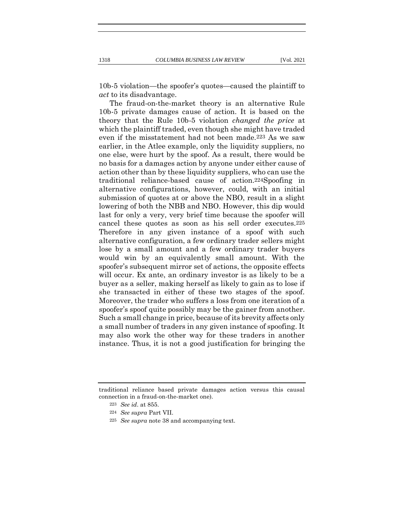10b-5 violation—the spoofer's quotes—caused the plaintiff to *act* to its disadvantage.

The fraud-on-the-market theory is an alternative Rule 10b-5 private damages cause of action. It is based on the theory that the Rule 10b-5 violation *changed the price* at which the plaintiff traded, even though she might have traded even if the misstatement had not been made.223 As we saw earlier, in the Atlee example, only the liquidity suppliers, no one else, were hurt by the spoof. As a result, there would be no basis for a damages action by anyone under either cause of action other than by these liquidity suppliers, who can use the traditional reliance-based cause of action.224Spoofing in alternative configurations, however, could, with an initial submission of quotes at or above the NBO, result in a slight lowering of both the NBB and NBO. However, this dip would last for only a very, very brief time because the spoofer will cancel these quotes as soon as his sell order executes.225 Therefore in any given instance of a spoof with such alternative configuration, a few ordinary trader sellers might lose by a small amount and a few ordinary trader buyers would win by an equivalently small amount. With the spoofer's subsequent mirror set of actions, the opposite effects will occur. Ex ante, an ordinary investor is as likely to be a buyer as a seller, making herself as likely to gain as to lose if she transacted in either of these two stages of the spoof. Moreover, the trader who suffers a loss from one iteration of a spoofer's spoof quite possibly may be the gainer from another. Such a small change in price, because of its brevity affects only a small number of traders in any given instance of spoofing. It may also work the other way for these traders in another instance. Thus, it is not a good justification for bringing the

traditional reliance based private damages action versus this causal connection in a fraud-on-the-market one).

<sup>223</sup> *See id*. at 855.

<sup>224</sup> *See supra* Part VII*.*

<sup>225</sup> *See supra* note 38 and accompanying text*.*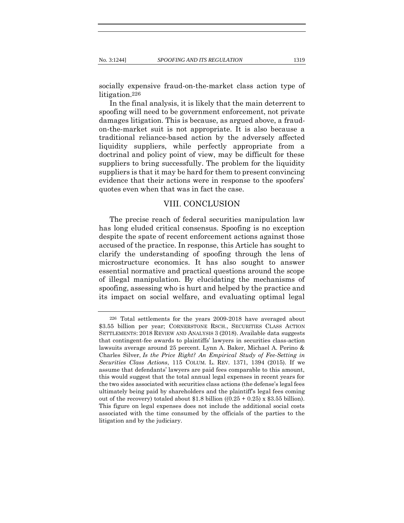socially expensive fraud-on-the-market class action type of litigation.226

In the final analysis, it is likely that the main deterrent to spoofing will need to be government enforcement, not private damages litigation. This is because, as argued above, a fraudon-the-market suit is not appropriate. It is also because a traditional reliance-based action by the adversely affected liquidity suppliers, while perfectly appropriate from a doctrinal and policy point of view, may be difficult for these suppliers to bring successfully. The problem for the liquidity suppliers is that it may be hard for them to present convincing evidence that their actions were in response to the spoofers' quotes even when that was in fact the case.

## VIII. CONCLUSION

The precise reach of federal securities manipulation law has long eluded critical consensus. Spoofing is no exception despite the spate of recent enforcement actions against those accused of the practice. In response, this Article has sought to clarify the understanding of spoofing through the lens of microstructure economics. It has also sought to answer essential normative and practical questions around the scope of illegal manipulation. By elucidating the mechanisms of spoofing, assessing who is hurt and helped by the practice and its impact on social welfare, and evaluating optimal legal

<sup>226</sup> Total settlements for the years 2009-2018 have averaged about \$3.55 billion per year; CORNERSTONE RSCH., SECURITIES CLASS ACTION SETTLEMENTS: 2018 REVIEW AND ANALYSIS 3 (2018). Available data suggests that contingent-fee awards to plaintiffs' lawyers in securities class-action lawsuits average around 25 percent. Lynn A. Baker, Michael A. Perino & Charles Silver, *Is the Price Right? An Empirical Study of Fee-Setting in Securities Class Actions*, 115 COLUM. L. REV. 1371, 1394 (2015). If we assume that defendants' lawyers are paid fees comparable to this amount, this would suggest that the total annual legal expenses in recent years for the two sides associated with securities class actions (the defense's legal fees ultimately being paid by shareholders and the plaintiff's legal fees coming out of the recovery) totaled about \$1.8 billion  $((0.25 + 0.25) \times $3.55$  billion). This figure on legal expenses does not include the additional social costs associated with the time consumed by the officials of the parties to the litigation and by the judiciary.